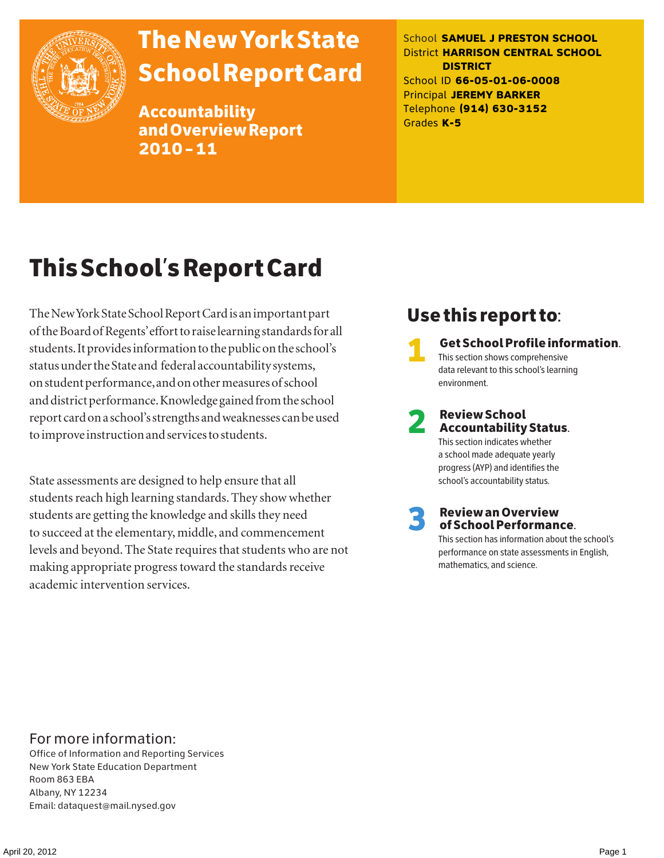

# The New York State School Report Card

Accountability and Overview Report 2010–11

School **SAMUEL J PRESTON SCHOOL** District **HARRISON CENTRAL SCHOOL DISTRICT** School ID **66-05-01-06-0008** Principal **JEREMY BARKER** Telephone **(914) 630-3152** Grades **K-5**

# This School's Report Card

The New York State School Report Card is an important part of the Board of Regents' effort to raise learning standards for all students. It provides information to the public on the school's status under the State and federal accountability systems, on student performance, and on other measures of school and district performance. Knowledge gained from the school report card on a school's strengths and weaknesses can be used to improve instruction and services to students.

State assessments are designed to help ensure that all students reach high learning standards. They show whether students are getting the knowledge and skills they need to succeed at the elementary, middle, and commencement levels and beyond. The State requires that students who are not making appropriate progress toward the standards receive academic intervention services.

## Use this report to:

1 Get School Profile information. This section shows comprehensive data relevant to this school's learning environment.

# 2 Review School Accountability Status.

This section indicates whether a school made adequate yearly progress (AYP) and identifies the school's accountability status.

3 Review an Overview of School Performance.

This section has information about the school's performance on state assessments in English, mathematics, and science.

### For more information:

Office of Information and Reporting Services New York State Education Department Room 863 EBA Albany, NY 12234 Email: dataquest@mail.nysed.gov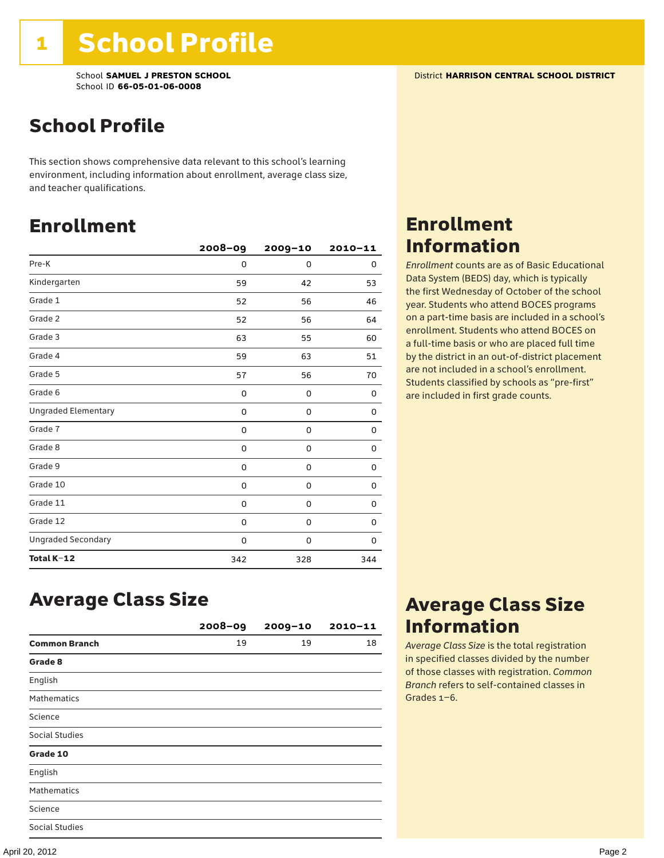## School Profile

This section shows comprehensive data relevant to this school's learning environment, including information about enrollment, average class size, and teacher qualifications.

### Enrollment

|                            | $2008 - 09$ | 2009-10     | $2010 - 11$ |
|----------------------------|-------------|-------------|-------------|
| Pre-K                      | 0           | 0           | 0           |
| Kindergarten               | 59          | 42          | 53          |
| Grade 1                    | 52          | 56          | 46          |
| Grade 2                    | 52          | 56          | 64          |
| Grade 3                    | 63          | 55          | 60          |
| Grade 4                    | 59          | 63          | 51          |
| Grade 5                    | 57          | 56          | 70          |
| Grade 6                    | 0           | 0           | 0           |
| <b>Ungraded Elementary</b> | 0           | $\mathbf 0$ | 0           |
| Grade 7                    | 0           | $\mathbf 0$ | 0           |
| Grade 8                    | 0           | 0           | 0           |
| Grade 9                    | 0           | 0           | 0           |
| Grade 10                   | 0           | 0           | 0           |
| Grade 11                   | 0           | 0           | 0           |
| Grade 12                   | 0           | 0           | 0           |
| <b>Ungraded Secondary</b>  | 0           | 0           | 0           |
| Total K-12                 | 342         | 328         | 344         |

## Enrollment Information

*Enrollment* counts are as of Basic Educational Data System (BEDS) day, which is typically the first Wednesday of October of the school year. Students who attend BOCES programs on a part-time basis are included in a school's enrollment. Students who attend BOCES on a full-time basis or who are placed full time by the district in an out-of-district placement are not included in a school's enrollment. Students classified by schools as "pre-first" are included in first grade counts.

### Average Class Size

|                       | $2008 - 09$ | $2009 - 10$ | $2010 - 11$ |
|-----------------------|-------------|-------------|-------------|
| <b>Common Branch</b>  | 19          | 19          | 18          |
| Grade 8               |             |             |             |
| English               |             |             |             |
| <b>Mathematics</b>    |             |             |             |
| Science               |             |             |             |
| <b>Social Studies</b> |             |             |             |
| Grade 10              |             |             |             |
| English               |             |             |             |
| <b>Mathematics</b>    |             |             |             |
| Science               |             |             |             |
| <b>Social Studies</b> |             |             |             |

### Average Class Size Information

*Average Class Size* is the total registration in specified classes divided by the number of those classes with registration. *Common Branch* refers to self-contained classes in Grades 1–6.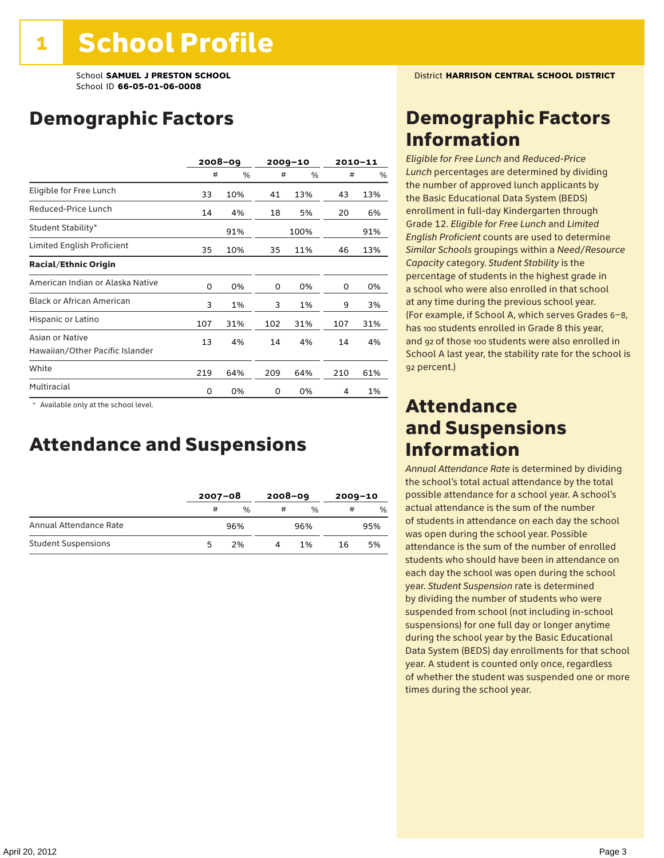### Demographic Factors

|                                                    |     | $2008 - 09$ |     | $2009 - 10$ |     | $2010 - 11$ |
|----------------------------------------------------|-----|-------------|-----|-------------|-----|-------------|
|                                                    | #   | %           | #   | %           | #   | %           |
| Eligible for Free Lunch                            | 33  | 10%         | 41  | 13%         | 43  | 13%         |
| Reduced-Price Lunch                                | 14  | 4%          | 18  | 5%          | 20  | 6%          |
| Student Stability*                                 |     | 91%         |     | 100%        |     | 91%         |
| Limited English Proficient                         | 35  | 10%         | 35  | 11%         | 46  | 13%         |
| <b>Racial/Ethnic Origin</b>                        |     |             |     |             |     |             |
| American Indian or Alaska Native                   | 0   | 0%          | 0   | 0%          | 0   | 0%          |
| <b>Black or African American</b>                   | 3   | 1%          | 3   | 1%          | 9   | 3%          |
| Hispanic or Latino                                 | 107 | 31%         | 102 | 31%         | 107 | 31%         |
| Asian or Native<br>Hawaiian/Other Pacific Islander | 13  | 4%          | 14  | 4%          | 14  | 4%          |
| White                                              | 219 | 64%         | 209 | 64%         | 210 | 61%         |
| Multiracial                                        | 0   | 0%          | 0   | 0%          | 4   | 1%          |

 \* Available only at the school level.

### Attendance and Suspensions

|                            |    | $2007 - 08$ |    | $2008 - 09$   |    | $2009 - 10$ |  |
|----------------------------|----|-------------|----|---------------|----|-------------|--|
|                            | #  | %           | #  | $\frac{0}{6}$ | #  | $\%$        |  |
| Annual Attendance Rate     |    | 96%         |    | 96%           |    | 95%         |  |
| <b>Student Suspensions</b> | 'n | 2%          | 1% |               | 16 | 5%          |  |

### Demographic Factors Information

*Eligible for Free Lunch* and *Reduced*-*Price Lunch* percentages are determined by dividing the number of approved lunch applicants by the Basic Educational Data System (BEDS) enrollment in full-day Kindergarten through Grade 12. *Eligible for Free Lunch* and *Limited English Proficient* counts are used to determine *Similar Schools* groupings within a *Need*/*Resource Capacity* category. *Student Stability* is the percentage of students in the highest grade in a school who were also enrolled in that school at any time during the previous school year. (For example, if School A, which serves Grades 6–8, has 100 students enrolled in Grade 8 this year, and 92 of those 100 students were also enrolled in School A last year, the stability rate for the school is 92 percent.)

### Attendance and Suspensions Information

*Annual Attendance Rate* is determined by dividing the school's total actual attendance by the total possible attendance for a school year. A school's actual attendance is the sum of the number of students in attendance on each day the school was open during the school year. Possible attendance is the sum of the number of enrolled students who should have been in attendance on each day the school was open during the school year. *Student Suspension* rate is determined by dividing the number of students who were suspended from school (not including in-school suspensions) for one full day or longer anytime during the school year by the Basic Educational Data System (BEDS) day enrollments for that school year. A student is counted only once, regardless of whether the student was suspended one or more times during the school year.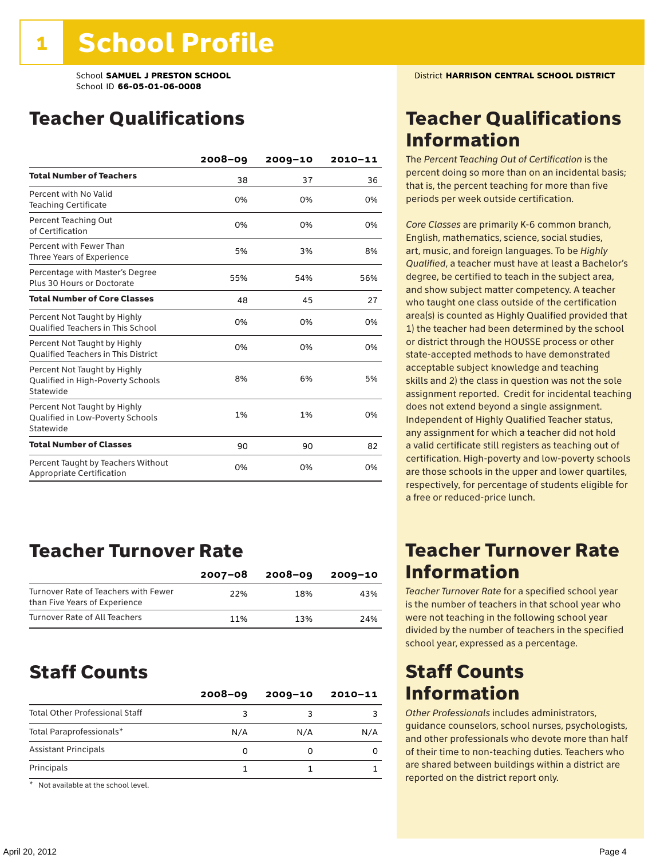### Teacher Qualifications

|                                                                                | $2008 - 09$ | $2009 - 10$ | 2010-11 |
|--------------------------------------------------------------------------------|-------------|-------------|---------|
| <b>Total Number of Teachers</b>                                                | 38          | 37          | 36      |
| Percent with No Valid<br><b>Teaching Certificate</b>                           | 0%          | 0%          | 0%      |
| Percent Teaching Out<br>of Certification                                       | 0%          | 0%          | 0%      |
| Percent with Fewer Than<br>Three Years of Experience                           | 5%          | 3%          | 8%      |
| Percentage with Master's Degree<br>Plus 30 Hours or Doctorate                  | 55%         | 54%         | 56%     |
| <b>Total Number of Core Classes</b>                                            | 48          | 45          | 27      |
| Percent Not Taught by Highly<br><b>Oualified Teachers in This School</b>       | 0%          | 0%          | 0%      |
| Percent Not Taught by Highly<br><b>Oualified Teachers in This District</b>     | 0%          | 0%          | 0%      |
| Percent Not Taught by Highly<br>Qualified in High-Poverty Schools<br>Statewide | 8%          | 6%          | 5%      |
| Percent Not Taught by Highly<br>Qualified in Low-Poverty Schools<br>Statewide  | 1%          | 1%          | 0%      |
| <b>Total Number of Classes</b>                                                 | 90          | 90          | 82      |
| Percent Taught by Teachers Without<br>Appropriate Certification                | 0%          | 0%          | 0%      |

### Teacher Turnover Rate

|                                                                       | $2007 - 08$ | 2008-09 | 2009-10 |
|-----------------------------------------------------------------------|-------------|---------|---------|
| Turnover Rate of Teachers with Fewer<br>than Five Years of Experience | 22%         | 18%     | 43%     |
| Turnover Rate of All Teachers                                         | 11%         | 13%     | 24%     |

### Staff Counts

| $2008 - 09$ | $2009 - 10$ | $2010 - 11$ |
|-------------|-------------|-------------|
| ٩           |             |             |
| N/A         | N/A         | N/A         |
| O           |             |             |
|             |             |             |
|             |             |             |

\* Not available at the school level.

### Teacher Qualifications Information

The *Percent Teaching Out of Certification* is the percent doing so more than on an incidental basis; that is, the percent teaching for more than five periods per week outside certification.

*Core Classes* are primarily K-6 common branch, English, mathematics, science, social studies, art, music, and foreign languages. To be *Highly Qualified*, a teacher must have at least a Bachelor's degree, be certified to teach in the subject area, and show subject matter competency. A teacher who taught one class outside of the certification area(s) is counted as Highly Qualified provided that 1) the teacher had been determined by the school or district through the HOUSSE process or other state-accepted methods to have demonstrated acceptable subject knowledge and teaching skills and 2) the class in question was not the sole assignment reported. Credit for incidental teaching does not extend beyond a single assignment. Independent of Highly Qualified Teacher status, any assignment for which a teacher did not hold a valid certificate still registers as teaching out of certification. High-poverty and low-poverty schools are those schools in the upper and lower quartiles, respectively, for percentage of students eligible for a free or reduced-price lunch.

### Teacher Turnover Rate Information

*Teacher Turnover Rate* for a specified school year is the number of teachers in that school year who were not teaching in the following school year divided by the number of teachers in the specified school year, expressed as a percentage.

### Staff Counts Information

*Other Professionals* includes administrators, guidance counselors, school nurses, psychologists, and other professionals who devote more than half of their time to non-teaching duties. Teachers who are shared between buildings within a district are reported on the district report only.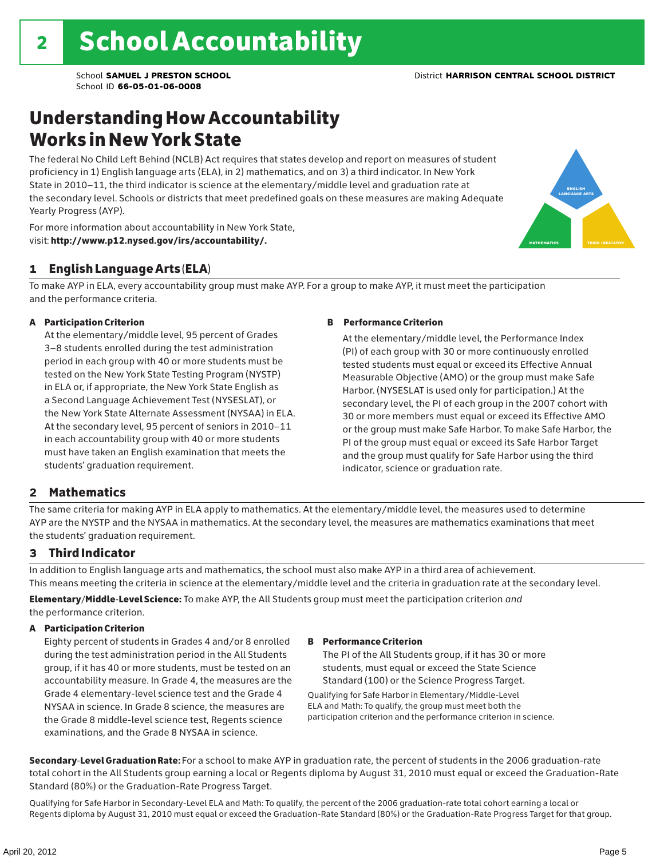### Understanding How Accountability Works in New York State

The federal No Child Left Behind (NCLB) Act requires that states develop and report on measures of student proficiency in 1) English language arts (ELA), in 2) mathematics, and on 3) a third indicator. In New York State in 2010–11, the third indicator is science at the elementary/middle level and graduation rate at the secondary level. Schools or districts that meet predefined goals on these measures are making Adequate Yearly Progress (AYP).



For more information about accountability in New York State, visit: http://www.p12.nysed.gov/irs/accountability/.

#### 1 English Language Arts (ELA)

To make AYP in ELA, every accountability group must make AYP. For a group to make AYP, it must meet the participation and the performance criteria.

#### A Participation Criterion

At the elementary/middle level, 95 percent of Grades 3–8 students enrolled during the test administration period in each group with 40 or more students must be tested on the New York State Testing Program (NYSTP) in ELA or, if appropriate, the New York State English as a Second Language Achievement Test (NYSESLAT), or the New York State Alternate Assessment (NYSAA) in ELA. At the secondary level, 95 percent of seniors in 2010–11 in each accountability group with 40 or more students must have taken an English examination that meets the students' graduation requirement.

#### B Performance Criterion

At the elementary/middle level, the Performance Index (PI) of each group with 30 or more continuously enrolled tested students must equal or exceed its Effective Annual Measurable Objective (AMO) or the group must make Safe Harbor. (NYSESLAT is used only for participation.) At the secondary level, the PI of each group in the 2007 cohort with 30 or more members must equal or exceed its Effective AMO or the group must make Safe Harbor. To make Safe Harbor, the PI of the group must equal or exceed its Safe Harbor Target and the group must qualify for Safe Harbor using the third indicator, science or graduation rate.

#### 2 Mathematics

The same criteria for making AYP in ELA apply to mathematics. At the elementary/middle level, the measures used to determine AYP are the NYSTP and the NYSAA in mathematics. At the secondary level, the measures are mathematics examinations that meet the students' graduation requirement.

#### 3 Third Indicator

In addition to English language arts and mathematics, the school must also make AYP in a third area of achievement. This means meeting the criteria in science at the elementary/middle level and the criteria in graduation rate at the secondary level.

Elementary/Middle-Level Science: To make AYP, the All Students group must meet the participation criterion *and* the performance criterion.

#### A Participation Criterion

Eighty percent of students in Grades 4 and/or 8 enrolled during the test administration period in the All Students group, if it has 40 or more students, must be tested on an accountability measure. In Grade 4, the measures are the Grade 4 elementary-level science test and the Grade 4 NYSAA in science. In Grade 8 science, the measures are the Grade 8 middle-level science test, Regents science examinations, and the Grade 8 NYSAA in science.

#### B Performance Criterion

The PI of the All Students group, if it has 30 or more students, must equal or exceed the State Science Standard (100) or the Science Progress Target.

Qualifying for Safe Harbor in Elementary/Middle-Level ELA and Math: To qualify, the group must meet both the participation criterion and the performance criterion in science.

Secondary-Level Graduation Rate: For a school to make AYP in graduation rate, the percent of students in the 2006 graduation-rate total cohort in the All Students group earning a local or Regents diploma by August 31, 2010 must equal or exceed the Graduation-Rate Standard (80%) or the Graduation-Rate Progress Target.

Qualifying for Safe Harbor in Secondary-Level ELA and Math: To qualify, the percent of the 2006 graduation-rate total cohort earning a local or Regents diploma by August 31, 2010 must equal or exceed the Graduation-Rate Standard (80%) or the Graduation-Rate Progress Target for that group.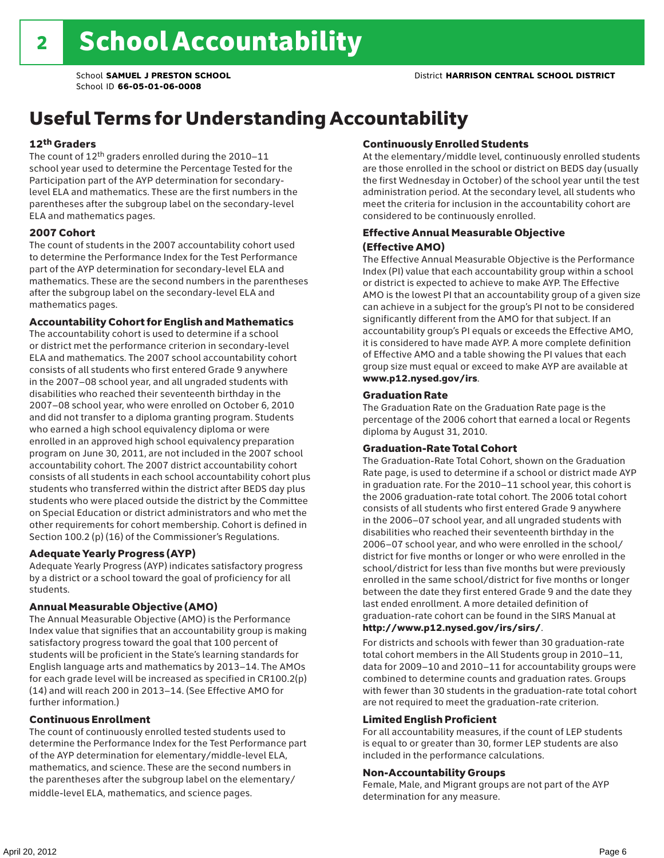## Useful Terms for Understanding Accountability

#### 12th Graders

The count of 12th graders enrolled during the 2010–11 school year used to determine the Percentage Tested for the Participation part of the AYP determination for secondarylevel ELA and mathematics. These are the first numbers in the parentheses after the subgroup label on the secondary-level ELA and mathematics pages.

#### 2007 Cohort

The count of students in the 2007 accountability cohort used to determine the Performance Index for the Test Performance part of the AYP determination for secondary-level ELA and mathematics. These are the second numbers in the parentheses after the subgroup label on the secondary-level ELA and mathematics pages.

#### Accountability Cohort for English and Mathematics

The accountability cohort is used to determine if a school or district met the performance criterion in secondary-level ELA and mathematics. The 2007 school accountability cohort consists of all students who first entered Grade 9 anywhere in the 2007–08 school year, and all ungraded students with disabilities who reached their seventeenth birthday in the 2007–08 school year, who were enrolled on October 6, 2010 and did not transfer to a diploma granting program. Students who earned a high school equivalency diploma or were enrolled in an approved high school equivalency preparation program on June 30, 2011, are not included in the 2007 school accountability cohort. The 2007 district accountability cohort consists of all students in each school accountability cohort plus students who transferred within the district after BEDS day plus students who were placed outside the district by the Committee on Special Education or district administrators and who met the other requirements for cohort membership. Cohort is defined in Section 100.2 (p) (16) of the Commissioner's Regulations.

#### Adequate Yearly Progress (AYP)

Adequate Yearly Progress (AYP) indicates satisfactory progress by a district or a school toward the goal of proficiency for all students.

#### Annual Measurable Objective (AMO)

The Annual Measurable Objective (AMO) is the Performance Index value that signifies that an accountability group is making satisfactory progress toward the goal that 100 percent of students will be proficient in the State's learning standards for English language arts and mathematics by 2013–14. The AMOs for each grade level will be increased as specified in CR100.2(p) (14) and will reach 200 in 2013–14. (See Effective AMO for further information.)

#### Continuous Enrollment

The count of continuously enrolled tested students used to determine the Performance Index for the Test Performance part of the AYP determination for elementary/middle-level ELA, mathematics, and science. These are the second numbers in the parentheses after the subgroup label on the elementary/ middle-level ELA, mathematics, and science pages.

#### Continuously Enrolled Students

At the elementary/middle level, continuously enrolled students are those enrolled in the school or district on BEDS day (usually the first Wednesday in October) of the school year until the test administration period. At the secondary level, all students who meet the criteria for inclusion in the accountability cohort are considered to be continuously enrolled.

#### Effective Annual Measurable Objective (Effective AMO)

The Effective Annual Measurable Objective is the Performance Index (PI) value that each accountability group within a school or district is expected to achieve to make AYP. The Effective AMO is the lowest PI that an accountability group of a given size can achieve in a subject for the group's PI not to be considered significantly different from the AMO for that subject. If an accountability group's PI equals or exceeds the Effective AMO, it is considered to have made AYP. A more complete definition of Effective AMO and a table showing the PI values that each group size must equal or exceed to make AYP are available at www.p12.nysed.gov/irs.

#### Graduation Rate

The Graduation Rate on the Graduation Rate page is the percentage of the 2006 cohort that earned a local or Regents diploma by August 31, 2010.

#### Graduation-Rate Total Cohort

The Graduation-Rate Total Cohort, shown on the Graduation Rate page, is used to determine if a school or district made AYP in graduation rate. For the 2010–11 school year, this cohort is the 2006 graduation-rate total cohort. The 2006 total cohort consists of all students who first entered Grade 9 anywhere in the 2006–07 school year, and all ungraded students with disabilities who reached their seventeenth birthday in the 2006–07 school year, and who were enrolled in the school/ district for five months or longer or who were enrolled in the school/district for less than five months but were previously enrolled in the same school/district for five months or longer between the date they first entered Grade 9 and the date they last ended enrollment. A more detailed definition of graduation-rate cohort can be found in the SIRS Manual at

#### http://www.p12.nysed.gov/irs/sirs/.

For districts and schools with fewer than 30 graduation-rate total cohort members in the All Students group in 2010–11, data for 2009–10 and 2010–11 for accountability groups were combined to determine counts and graduation rates. Groups with fewer than 30 students in the graduation-rate total cohort are not required to meet the graduation-rate criterion.

#### Limited English Proficient

For all accountability measures, if the count of LEP students is equal to or greater than 30, former LEP students are also included in the performance calculations.

#### Non-Accountability Groups

Female, Male, and Migrant groups are not part of the AYP determination for any measure.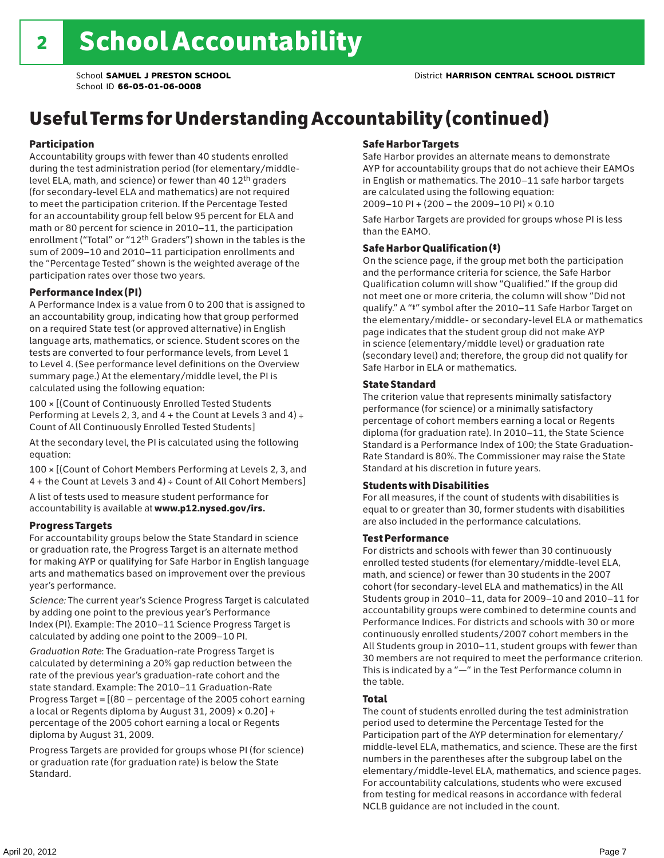## Useful Terms for Understanding Accountability (continued)

#### Participation

Accountability groups with fewer than 40 students enrolled during the test administration period (for elementary/middlelevel ELA, math, and science) or fewer than 40 12th graders (for secondary-level ELA and mathematics) are not required to meet the participation criterion. If the Percentage Tested for an accountability group fell below 95 percent for ELA and math or 80 percent for science in 2010–11, the participation enrollment ("Total" or "12th Graders") shown in the tables is the sum of 2009–10 and 2010–11 participation enrollments and the "Percentage Tested" shown is the weighted average of the participation rates over those two years.

#### Performance Index (PI)

A Performance Index is a value from 0 to 200 that is assigned to an accountability group, indicating how that group performed on a required State test (or approved alternative) in English language arts, mathematics, or science. Student scores on the tests are converted to four performance levels, from Level 1 to Level 4. (See performance level definitions on the Overview summary page.) At the elementary/middle level, the PI is calculated using the following equation:

100 × [(Count of Continuously Enrolled Tested Students Performing at Levels 2, 3, and  $4 +$  the Count at Levels 3 and  $4) \div$ Count of All Continuously Enrolled Tested Students]

At the secondary level, the PI is calculated using the following equation:

100 × [(Count of Cohort Members Performing at Levels 2, 3, and 4 + the Count at Levels 3 and 4) ÷ Count of All Cohort Members]

A list of tests used to measure student performance for accountability is available at www.p12.nysed.gov/irs.

#### Progress Targets

For accountability groups below the State Standard in science or graduation rate, the Progress Target is an alternate method for making AYP or qualifying for Safe Harbor in English language arts and mathematics based on improvement over the previous year's performance.

*Science:* The current year's Science Progress Target is calculated by adding one point to the previous year's Performance Index (PI). Example: The 2010–11 Science Progress Target is calculated by adding one point to the 2009–10 PI.

*Graduation Rate*: The Graduation-rate Progress Target is calculated by determining a 20% gap reduction between the rate of the previous year's graduation-rate cohort and the state standard. Example: The 2010–11 Graduation-Rate Progress Target = [(80 – percentage of the 2005 cohort earning a local or Regents diploma by August 31, 2009)  $\times$  0.20] + percentage of the 2005 cohort earning a local or Regents diploma by August 31, 2009.

Progress Targets are provided for groups whose PI (for science) or graduation rate (for graduation rate) is below the State Standard.

#### Safe Harbor Targets

Safe Harbor provides an alternate means to demonstrate AYP for accountability groups that do not achieve their EAMOs in English or mathematics. The 2010–11 safe harbor targets are calculated using the following equation: 2009–10 PI + (200 – the 2009–10 PI) × 0.10

Safe Harbor Targets are provided for groups whose PI is less than the EAMO.

#### Safe Harbor Qualification (‡)

On the science page, if the group met both the participation and the performance criteria for science, the Safe Harbor Qualification column will show "Qualified." If the group did not meet one or more criteria, the column will show "Did not qualify." A "‡" symbol after the 2010–11 Safe Harbor Target on the elementary/middle- or secondary-level ELA or mathematics page indicates that the student group did not make AYP in science (elementary/middle level) or graduation rate (secondary level) and; therefore, the group did not qualify for Safe Harbor in ELA or mathematics.

#### State Standard

The criterion value that represents minimally satisfactory performance (for science) or a minimally satisfactory percentage of cohort members earning a local or Regents diploma (for graduation rate). In 2010–11, the State Science Standard is a Performance Index of 100; the State Graduation-Rate Standard is 80%. The Commissioner may raise the State Standard at his discretion in future years.

#### Students with Disabilities

For all measures, if the count of students with disabilities is equal to or greater than 30, former students with disabilities are also included in the performance calculations.

#### Test Performance

For districts and schools with fewer than 30 continuously enrolled tested students (for elementary/middle-level ELA, math, and science) or fewer than 30 students in the 2007 cohort (for secondary-level ELA and mathematics) in the All Students group in 2010–11, data for 2009–10 and 2010–11 for accountability groups were combined to determine counts and Performance Indices. For districts and schools with 30 or more continuously enrolled students/2007 cohort members in the All Students group in 2010–11, student groups with fewer than 30 members are not required to meet the performance criterion. This is indicated by a "—" in the Test Performance column in the table.

#### Total

The count of students enrolled during the test administration period used to determine the Percentage Tested for the Participation part of the AYP determination for elementary/ middle-level ELA, mathematics, and science. These are the first numbers in the parentheses after the subgroup label on the elementary/middle-level ELA, mathematics, and science pages. For accountability calculations, students who were excused from testing for medical reasons in accordance with federal NCLB guidance are not included in the count.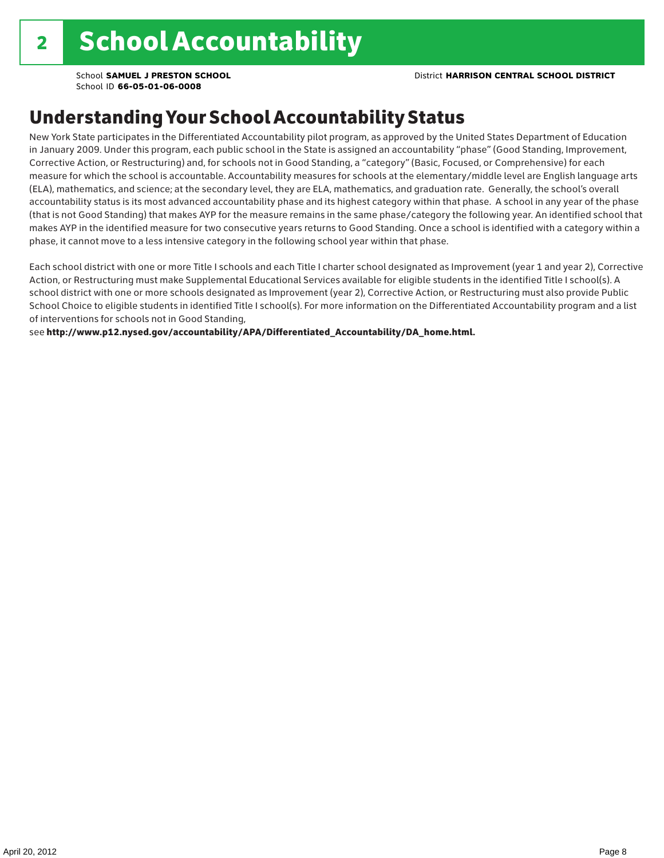### Understanding Your School Accountability Status

New York State participates in the Differentiated Accountability pilot program, as approved by the United States Department of Education in January 2009. Under this program, each public school in the State is assigned an accountability "phase" (Good Standing, Improvement, Corrective Action, or Restructuring) and, for schools not in Good Standing, a "category" (Basic, Focused, or Comprehensive) for each measure for which the school is accountable. Accountability measures for schools at the elementary/middle level are English language arts (ELA), mathematics, and science; at the secondary level, they are ELA, mathematics, and graduation rate. Generally, the school's overall accountability status is its most advanced accountability phase and its highest category within that phase. A school in any year of the phase (that is not Good Standing) that makes AYP for the measure remains in the same phase/category the following year. An identified school that makes AYP in the identified measure for two consecutive years returns to Good Standing. Once a school is identified with a category within a phase, it cannot move to a less intensive category in the following school year within that phase.

Each school district with one or more Title I schools and each Title I charter school designated as Improvement (year 1 and year 2), Corrective Action, or Restructuring must make Supplemental Educational Services available for eligible students in the identified Title I school(s). A school district with one or more schools designated as Improvement (year 2), Corrective Action, or Restructuring must also provide Public School Choice to eligible students in identified Title I school(s). For more information on the Differentiated Accountability program and a list of interventions for schools not in Good Standing,

see http://www.p12.nysed.gov/accountability/APA/Differentiated\_Accountability/DA\_home.html.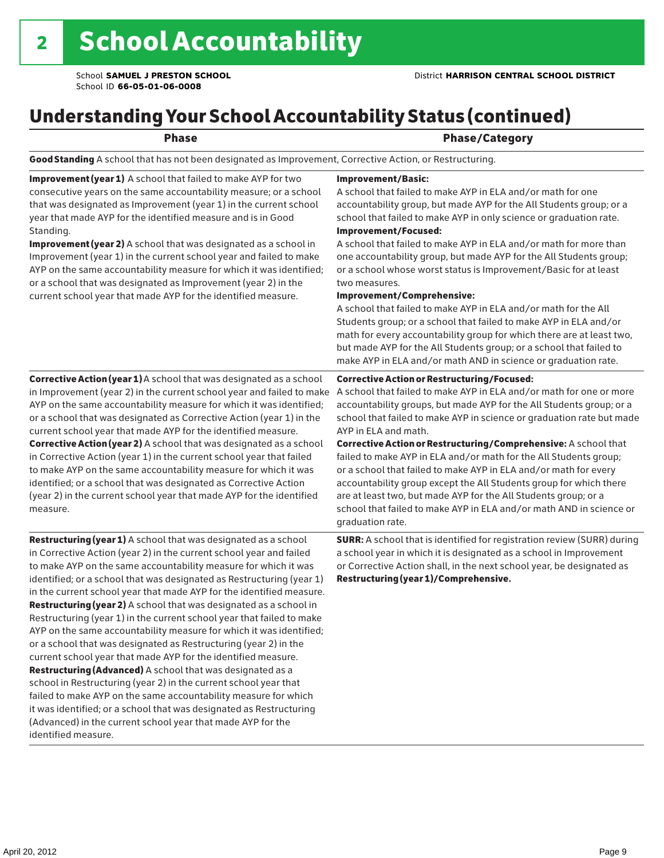## Understanding Your School Accountability Status (continued)

| ×<br>٧ |
|--------|
|--------|

#### end and the contract of the Phase/Category

Good Standing A school that has not been designated as Improvement, Corrective Action, or Restructuring.

Improvement (year 1) A school that failed to make AYP for two consecutive years on the same accountability measure; or a school that was designated as Improvement (year 1) in the current school year that made AYP for the identified measure and is in Good Standing.

Improvement (year 2) A school that was designated as a school in Improvement (year 1) in the current school year and failed to make AYP on the same accountability measure for which it was identified; or a school that was designated as Improvement (year 2) in the current school year that made AYP for the identified measure.

Corrective Action (year 1) A school that was designated as a school in Improvement (year 2) in the current school year and failed to make AYP on the same accountability measure for which it was identified; or a school that was designated as Corrective Action (year 1) in the current school year that made AYP for the identified measure. Corrective Action (year 2) A school that was designated as a school in Corrective Action (year 1) in the current school year that failed to make AYP on the same accountability measure for which it was identified; or a school that was designated as Corrective Action (year 2) in the current school year that made AYP for the identified measure.

**Restructuring (year 1)** A school that was designated as a school in Corrective Action (year 2) in the current school year and failed to make AYP on the same accountability measure for which it was identified; or a school that was designated as Restructuring (year 1) in the current school year that made AYP for the identified measure. Restructuring (year 2) A school that was designated as a school in Restructuring (year 1) in the current school year that failed to make AYP on the same accountability measure for which it was identified; or a school that was designated as Restructuring (year 2) in the current school year that made AYP for the identified measure. Restructuring (Advanced) A school that was designated as a school in Restructuring (year 2) in the current school year that failed to make AYP on the same accountability measure for which it was identified; or a school that was designated as Restructuring (Advanced) in the current school year that made AYP for the identified measure.

#### Improvement/Basic:

A school that failed to make AYP in ELA and/or math for one accountability group, but made AYP for the All Students group; or a school that failed to make AYP in only science or graduation rate. Improvement/Focused:

A school that failed to make AYP in ELA and/or math for more than one accountability group, but made AYP for the All Students group; or a school whose worst status is Improvement/Basic for at least two measures.

#### Improvement/Comprehensive:

A school that failed to make AYP in ELA and/or math for the All Students group; or a school that failed to make AYP in ELA and/or math for every accountability group for which there are at least two, but made AYP for the All Students group; or a school that failed to make AYP in ELA and/or math AND in science or graduation rate.

#### Corrective Action or Restructuring/Focused:

A school that failed to make AYP in ELA and/or math for one or more accountability groups, but made AYP for the All Students group; or a school that failed to make AYP in science or graduation rate but made AYP in ELA and math.

Corrective Action or Restructuring/Comprehensive: A school that failed to make AYP in ELA and/or math for the All Students group; or a school that failed to make AYP in ELA and/or math for every accountability group except the All Students group for which there are at least two, but made AYP for the All Students group; or a school that failed to make AYP in ELA and/or math AND in science or graduation rate.

SURR: A school that is identified for registration review (SURR) during a school year in which it is designated as a school in Improvement or Corrective Action shall, in the next school year, be designated as Restructuring (year 1)/Comprehensive.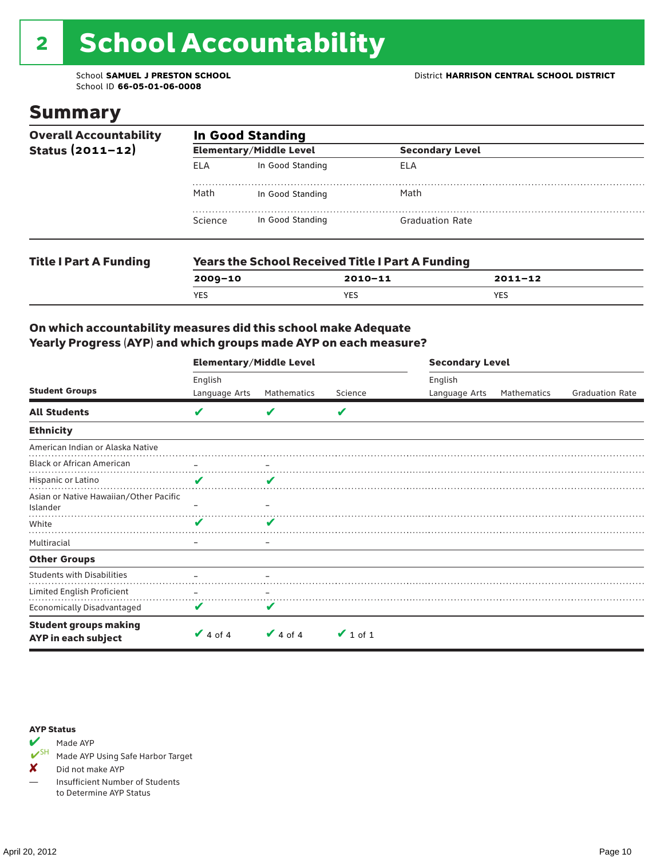# 2 School Accountability

School ID **66-05-01-06-0008**

### Summary

| <b>Overall Accountability</b><br>Status $(2011 - 12)$ | <b>In Good Standing</b> |                                |                                                         |             |  |  |
|-------------------------------------------------------|-------------------------|--------------------------------|---------------------------------------------------------|-------------|--|--|
|                                                       |                         | <b>Elementary/Middle Level</b> | <b>Secondary Level</b>                                  |             |  |  |
|                                                       | <b>ELA</b>              | In Good Standing               | ELA                                                     |             |  |  |
|                                                       | Math                    | In Good Standing               | Math                                                    |             |  |  |
|                                                       | Science                 | In Good Standing               | <b>Graduation Rate</b>                                  |             |  |  |
| <b>Title I Part A Funding</b>                         |                         |                                | <b>Years the School Received Title I Part A Funding</b> |             |  |  |
|                                                       | $2009 - 10$             |                                | $2010 - 11$                                             | $2011 - 12$ |  |  |

YES YES YES

#### On which accountability measures did this school make Adequate Yearly Progress (AYP) and which groups made AYP on each measure?

|                                                     |                   | <b>Elementary/Middle Level</b> |               |               | <b>Secondary Level</b> |                        |  |  |
|-----------------------------------------------------|-------------------|--------------------------------|---------------|---------------|------------------------|------------------------|--|--|
|                                                     | English           |                                |               | English       |                        |                        |  |  |
| <b>Student Groups</b>                               | Language Arts     | Mathematics                    | Science       | Language Arts | Mathematics            | <b>Graduation Rate</b> |  |  |
| <b>All Students</b>                                 | V                 | v                              | V             |               |                        |                        |  |  |
| <b>Ethnicity</b>                                    |                   |                                |               |               |                        |                        |  |  |
| American Indian or Alaska Native                    |                   |                                |               |               |                        |                        |  |  |
| <b>Black or African American</b>                    | $\qquad \qquad -$ |                                |               |               |                        |                        |  |  |
| Hispanic or Latino                                  | V                 | v                              |               |               |                        |                        |  |  |
| Asian or Native Hawaiian/Other Pacific<br>Islander  |                   |                                |               |               |                        |                        |  |  |
| White                                               | V                 |                                |               |               |                        |                        |  |  |
| Multiracial                                         |                   | -                              |               |               |                        |                        |  |  |
| <b>Other Groups</b>                                 |                   |                                |               |               |                        |                        |  |  |
| <b>Students with Disabilities</b>                   |                   |                                |               |               |                        |                        |  |  |
| Limited English Proficient                          |                   |                                |               |               |                        |                        |  |  |
| Economically Disadvantaged                          | V                 | v                              |               |               |                        |                        |  |  |
| <b>Student groups making</b><br>AYP in each subject | $\vee$ 4 of 4     | $\vee$ 4 of 4                  | $\vee$ 1 of 1 |               |                        |                        |  |  |

#### AYP Status



Made AYP Using Safe Harbor Target

✘ Did not make AYP

— Insufficient Number of Students to Determine AYP Status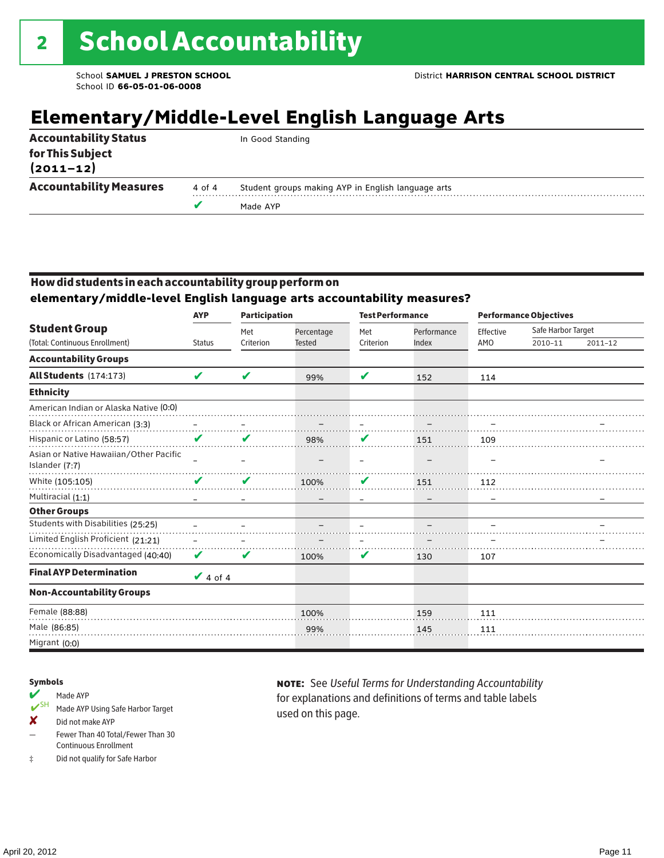## **Elementary/Middle-Level English Language Arts**

|                                   |        | Made AYP                                           |
|-----------------------------------|--------|----------------------------------------------------|
| <b>Accountability Measures</b>    | 4 of 4 | Student groups making AYP in English language arts |
| for This Subject<br>$(2011 - 12)$ |        |                                                    |
| <b>Accountability Status</b>      |        | In Good Standing                                   |

#### How did students in each accountability group perform on

**elementary/middle-level English language arts accountability measures?**

|                                                          | <b>AYP</b>    | <b>Participation</b> |               |           | <b>Test Performance</b> |           | <b>Performance Objectives</b> |         |  |
|----------------------------------------------------------|---------------|----------------------|---------------|-----------|-------------------------|-----------|-------------------------------|---------|--|
| <b>Student Group</b>                                     |               | Met                  | Percentage    | Met       | Performance             | Effective | Safe Harbor Target            |         |  |
| (Total: Continuous Enrollment)                           | <b>Status</b> | Criterion            | <b>Tested</b> | Criterion | Index                   | AMO       | 2010-11                       | 2011-12 |  |
| <b>Accountability Groups</b>                             |               |                      |               |           |                         |           |                               |         |  |
| All Students (174:173)                                   | V             | V                    | 99%           | ✔         | 152                     | 114       |                               |         |  |
| <b>Ethnicity</b>                                         |               |                      |               |           |                         |           |                               |         |  |
| American Indian or Alaska Native (0:0)                   |               |                      |               |           |                         |           |                               |         |  |
| Black or African American (3:3)                          |               |                      | .             |           |                         |           |                               |         |  |
| Hispanic or Latino (58:57)                               | V             |                      | 98%           | V         | 151                     | 109       |                               |         |  |
| Asian or Native Hawaiian/Other Pacific<br>Islander (7:7) |               |                      |               |           |                         |           |                               |         |  |
| White (105:105)                                          | ✔             | V                    | 100%          | V         | 151                     | 112       |                               |         |  |
| Multiracial (1:1)                                        |               |                      |               |           |                         |           |                               |         |  |
| <b>Other Groups</b>                                      |               |                      |               |           |                         |           |                               |         |  |
| Students with Disabilities (25:25)                       |               |                      |               |           |                         |           |                               |         |  |
| Limited English Proficient (21:21)                       |               |                      |               |           |                         |           |                               |         |  |
| Economically Disadvantaged (40:40)                       | V             | V                    | 100%          | V         | 130                     | 107       |                               |         |  |
| <b>Final AYP Determination</b>                           | $\vee$ 4 of 4 |                      |               |           |                         |           |                               |         |  |
| <b>Non-Accountability Groups</b>                         |               |                      |               |           |                         |           |                               |         |  |
| Female (88:88)                                           |               |                      | 100%          |           | 159                     | 111       |                               |         |  |
| Male (86:85)                                             |               |                      | 99%           |           | 145                     | 111       |                               |         |  |
| Migrant (0:0)                                            |               |                      |               |           |                         |           |                               |         |  |

#### Symbols

#### Made AYP

- ✔SH Made AYP Using Safe Harbor Target
- ✘ Did not make AYP
- Fewer Than 40 Total/Fewer Than 30 Continuous Enrollment
- ‡ Did not qualify for Safe Harbor

note: See *Useful Terms for Understanding Accountability*  for explanations and definitions of terms and table labels used on this page.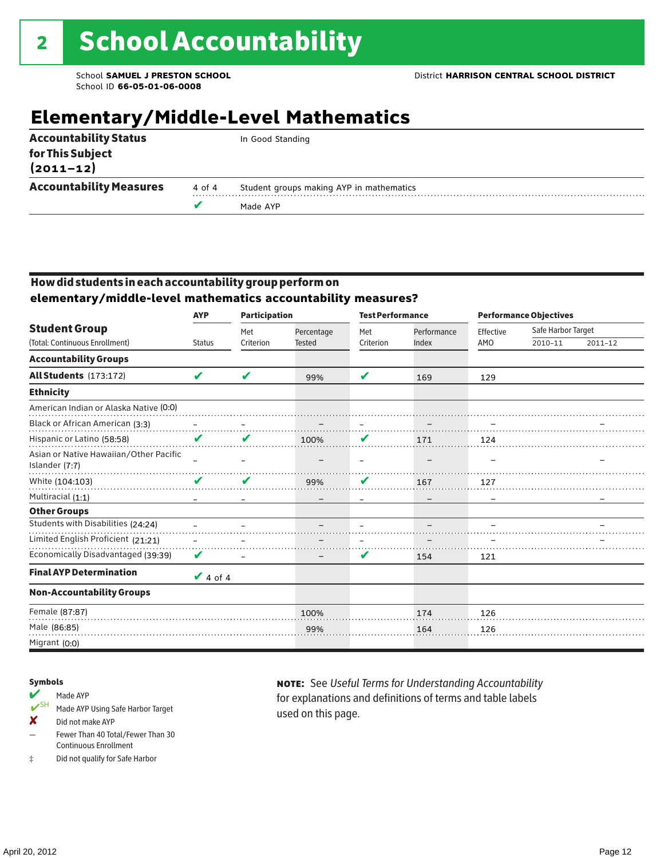## **Elementary/Middle-Level Mathematics**

|                                   |        | Made AYP                                 |
|-----------------------------------|--------|------------------------------------------|
| <b>Accountability Measures</b>    | 4 of 4 | Student groups making AYP in mathematics |
| for This Subject<br>$(2011 - 12)$ |        |                                          |
| <b>Accountability Status</b>      |        | In Good Standing                         |

#### How did students in each accountability group perform on **elementary/middle-level mathematics accountability measures?**

|                                                          | <b>AYP</b>    | <b>Participation</b> |                             | <b>Test Performance</b> |                      | <b>Performance Objectives</b> |                               |         |
|----------------------------------------------------------|---------------|----------------------|-----------------------------|-------------------------|----------------------|-------------------------------|-------------------------------|---------|
| <b>Student Group</b><br>(Total: Continuous Enrollment)   | <b>Status</b> | Met<br>Criterion     | Percentage<br><b>Tested</b> | Met<br>Criterion        | Performance<br>Index | Effective<br>AMO              | Safe Harbor Target<br>2010-11 | 2011-12 |
|                                                          |               |                      |                             |                         |                      |                               |                               |         |
| <b>Accountability Groups</b>                             |               |                      |                             |                         |                      |                               |                               |         |
| All Students (173:172)                                   | V             | ✔                    | 99%                         | V                       | 169                  | 129                           |                               |         |
| <b>Ethnicity</b>                                         |               |                      |                             |                         |                      |                               |                               |         |
| American Indian or Alaska Native (0:0)                   |               |                      |                             |                         |                      |                               |                               |         |
| Black or African American (3:3)                          |               |                      |                             |                         |                      |                               |                               |         |
| Hispanic or Latino (58:58)                               | V             | V                    | 100%                        | V                       | 171                  | 124                           |                               |         |
| Asian or Native Hawaiian/Other Pacific<br>Islander (7:7) |               |                      |                             |                         |                      |                               |                               |         |
| White (104:103)                                          | V             | V                    | 99%                         | V                       | 167                  | 127                           |                               |         |
| Multiracial (1:1)                                        |               |                      |                             |                         |                      |                               |                               |         |
| <b>Other Groups</b>                                      |               |                      |                             |                         |                      |                               |                               |         |
| Students with Disabilities (24:24)                       |               |                      |                             |                         |                      |                               |                               |         |
| Limited English Proficient (21:21)                       |               |                      |                             |                         |                      |                               |                               |         |
| Economically Disadvantaged (39:39)                       | V             |                      |                             | V                       | 154                  | 121                           |                               |         |
| <b>Final AYP Determination</b>                           | $\vee$ 4 of 4 |                      |                             |                         |                      |                               |                               |         |
| <b>Non-Accountability Groups</b>                         |               |                      |                             |                         |                      |                               |                               |         |
| Female (87:87)                                           |               |                      | 100%                        |                         | 174                  | 126                           |                               |         |
| Male (86:85)                                             |               |                      | 99%                         |                         | 164                  | 126                           |                               |         |
| Migrant (0:0)                                            |               |                      |                             |                         |                      |                               |                               |         |

#### Symbols

- Made AYP<br>
SH Made AYP Made AYP Using Safe Harbor Target
- ✘ Did not make AYP
- Fewer Than 40 Total/Fewer Than 30 Continuous Enrollment
- ‡ Did not qualify for Safe Harbor

note: See *Useful Terms for Understanding Accountability*  for explanations and definitions of terms and table labels used on this page.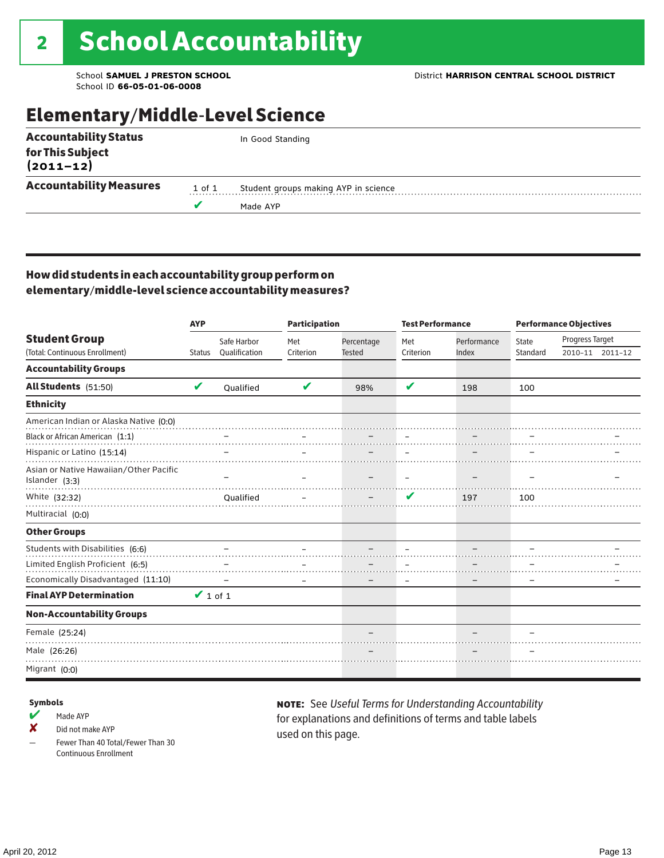### Elementary/Middle-Level Science

|                                |        | Made AYP                             |
|--------------------------------|--------|--------------------------------------|
| <b>Accountability Measures</b> | 1 of 1 | Student groups making AYP in science |
| for This Subject<br>(2011–12)  |        |                                      |
| <b>Accountability Status</b>   |        | In Good Standing                     |

#### How did students in each accountability group perform on elementary/middle-level science accountability measures?

|                                                          | <b>AYP</b>    |               | <b>Participation</b> |               | <b>Test Performance</b> |             | <b>Performance Objectives</b> |                 |                 |
|----------------------------------------------------------|---------------|---------------|----------------------|---------------|-------------------------|-------------|-------------------------------|-----------------|-----------------|
| <b>Student Group</b>                                     |               | Safe Harbor   | Met                  | Percentage    | Met                     | Performance | <b>State</b>                  | Progress Target |                 |
| (Total: Continuous Enrollment)                           | <b>Status</b> | Qualification | Criterion            | <b>Tested</b> | Criterion               | Index       | Standard                      |                 | 2010-11 2011-12 |
| <b>Accountability Groups</b>                             |               |               |                      |               |                         |             |                               |                 |                 |
| All Students (51:50)                                     | V             | Oualified     | V                    | 98%           | V                       | 198         | 100                           |                 |                 |
| <b>Ethnicity</b>                                         |               |               |                      |               |                         |             |                               |                 |                 |
| American Indian or Alaska Native (0:0)                   |               |               |                      |               |                         |             |                               |                 |                 |
| Black or African American (1:1)                          |               |               |                      |               |                         |             |                               |                 |                 |
| Hispanic or Latino (15:14)                               |               |               |                      |               |                         |             |                               |                 |                 |
| Asian or Native Hawaiian/Other Pacific<br>Islander (3:3) |               |               |                      |               |                         |             |                               |                 |                 |
| White (32:32)                                            |               | Qualified     |                      |               | ✔                       | 197         | 100                           |                 |                 |
| Multiracial (0:0)                                        |               |               |                      |               |                         |             |                               |                 |                 |
| <b>Other Groups</b>                                      |               |               |                      |               |                         |             |                               |                 |                 |
| Students with Disabilities (6:6)                         |               |               |                      |               |                         |             |                               |                 |                 |
| Limited English Proficient (6:5)                         |               |               |                      |               |                         |             |                               |                 |                 |
| Economically Disadvantaged (11:10)                       |               |               |                      |               |                         |             |                               |                 |                 |
| <b>Final AYP Determination</b>                           | $\vee$ 1 of 1 |               |                      |               |                         |             |                               |                 |                 |
| <b>Non-Accountability Groups</b>                         |               |               |                      |               |                         |             |                               |                 |                 |
| Female (25:24)                                           |               |               |                      |               |                         |             |                               |                 |                 |
| Male (26:26)                                             |               |               |                      |               |                         |             |                               |                 |                 |
| Migrant (0:0)                                            |               |               |                      |               |                         |             |                               |                 |                 |

#### Symbols

- $M$  Made AYP
- ✘ Did not make AYP
- Fewer Than 40 Total/Fewer Than 30 Continuous Enrollment

note: See *Useful Terms for Understanding Accountability*  for explanations and definitions of terms and table labels used on this page.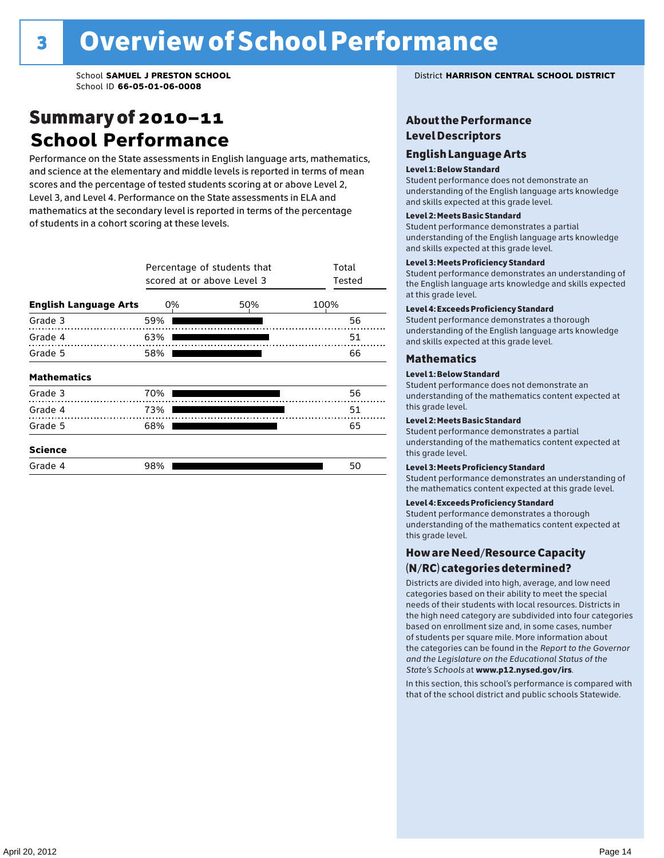### Summary of 2010–11 **School Performance**

Performance on the State assessments in English language arts, mathematics, and science at the elementary and middle levels is reported in terms of mean scores and the percentage of tested students scoring at or above Level 2, Level 3, and Level 4. Performance on the State assessments in ELA and mathematics at the secondary level is reported in terms of the percentage of students in a cohort scoring at these levels.

|                              | Percentage of students that<br>scored at or above Level 3 | Total<br>Tested |      |
|------------------------------|-----------------------------------------------------------|-----------------|------|
| <b>English Language Arts</b> | 0%                                                        | 50%             | 100% |
| Grade 3                      | 59%                                                       |                 | 56   |
| Grade 4                      | 63%                                                       |                 | 51   |
| Grade 5                      | 58%                                                       | 66              |      |
| <b>Mathematics</b>           |                                                           |                 |      |
| Grade 3                      | 70%                                                       |                 | 56   |
| Grade 4                      | 73%                                                       |                 | 51   |
| Grade 5                      | 68%                                                       |                 | 65   |
| <b>Science</b>               |                                                           |                 |      |
| Grade 4                      | 98%                                                       |                 | 50   |

#### School **SAMUEL J PRESTON SCHOOL** District **HARRISON CENTRAL SCHOOL DISTRICT**

#### About the Performance Level Descriptors

#### English Language Arts English Language Arts

#### Level 1: Below Standard

understanding of the content expected in the subjection of the subjection  $\mathcal{L}$ Student performance does not demonstrate an and skills expected at this grade level. understanding of the English language arts knowledge

#### Student performance demonstrates a partial Level 2: Meets Basic Standard understanding of the content expected in the subject of the subject of the subject of the subject of the subject

Student performance demonstrates a partial and skills expected at this grade level. Students performance demonstrates and understanding and understanding and understanding and understanding and u understanding of the English language arts knowledge

#### Level 3: Meets Proficiency Standard

Level 4: Meeting Learning Standards with Distinction. the English language arts knowledge and skills expected at this grade level.<br>at this grade level.  $\mathbf{u}$  and  $\mathbf{y}$  and  $\mathbf{u}$  the subjected in the subjected in the subjected in the subjection  $\mathbf{v}$ Student performance demonstrates an understanding of

#### Level 4: Exceeds Proficiency Standard

understanding of the English language arts knowledge and skills expected at this grade level.<br>———————————————————— Student performance demonstrates a thorough

#### Districts are districts and low need in the low need  $\sim$

#### categories based on their ability to meet the special Level 1: Below Standard

Student performance does not demonstrate an understanding of the mathematics content expected at  $\frac{1}{2}$  based on enrollment size and, in some cases, number  $\frac{1}{2}$  and,  $\frac{1}{2}$  and,  $\frac{1}{2}$ 

#### $\overline{\mathsf{Level}}$  2: Meets Basic Standard about  $\overline{\mathsf{Level}}$

the categories can be found in the *Report to the Governor categories* can be found in the *Report to the Govern*or  $\alpha$ *and the Legislature on the Educational Status of the*  Student performance demonstrates a partial understanding of the mathematics content expected at this grade level.

#### Level 3: Meets Proficiency Standard

Student performance demonstrates an understanding of the mathematics content expected at this grade level.

#### Level 4: Exceeds Proficiency Standard

Student performance demonstrates a thorough understanding of the mathematics content expected at this grade level.  $\mathcal{L}_{\text{max}}$  is performance with that of similar  $\mathcal{L}_{\text{max}}$ 

#### schools. The following factors are considered in grouping How are Need/Resource Capacity  $(N/RC)$  categories determined?  $\hphantom{N(2)}\sum_{n=1}^{\infty}\frac{1}{n}$

Districts are divided into high, average, and low need categories based on their ability to meet the special needs of their students with local resources. Districts in the high need category are subdivided into four categories based on enrollment size and, in some cases, number of students per square mile. More information about the categories can be found in the *Report to the Governor* Group: *State's Schools* at www.p12.nysed.gov/irs. *and the Legislature on the Educational Status of the* 

In this section, this school's performance is compared with that of the school district and public schools Statewide.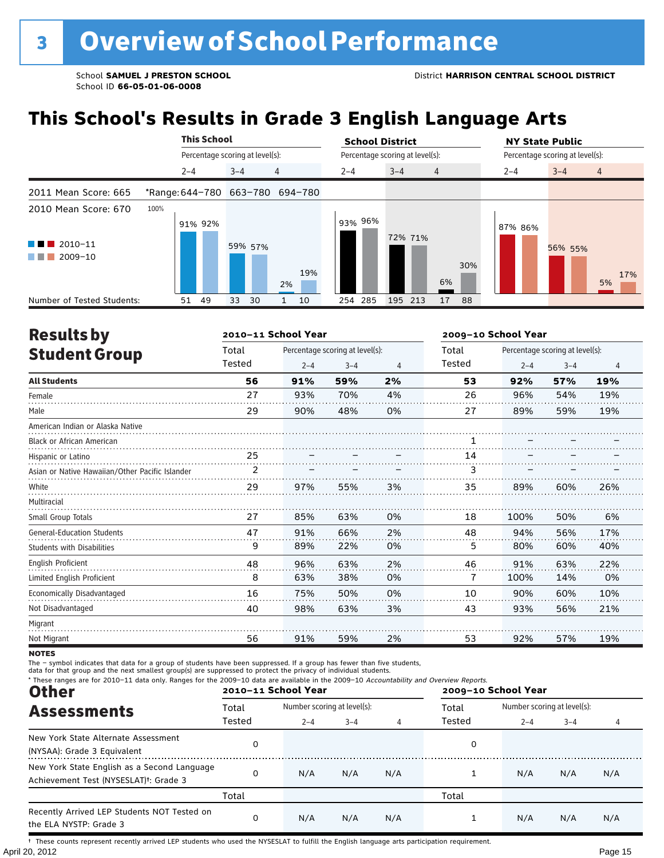## **This School's Results in Grade 3 English Language Arts**

|                                                                          |                                 | <b>This School</b>              |          |                |     |         | <b>School District</b>          |                |         | <b>NY State Public</b>          |                |  |  |
|--------------------------------------------------------------------------|---------------------------------|---------------------------------|----------|----------------|-----|---------|---------------------------------|----------------|---------|---------------------------------|----------------|--|--|
|                                                                          |                                 | Percentage scoring at level(s): |          |                |     |         | Percentage scoring at level(s): |                |         | Percentage scoring at level(s): |                |  |  |
|                                                                          | $2 - 4$                         |                                 | $3 - 4$  | $\overline{4}$ |     | $2 - 4$ | $3 - 4$                         | $\overline{4}$ | $2 - 4$ | $3 - 4$                         | $\overline{4}$ |  |  |
| 2011 Mean Score: 665                                                     | *Range: 644-780 663-780 694-780 |                                 |          |                |     |         |                                 |                |         |                                 |                |  |  |
| 2010 Mean Score: 670<br>$\blacksquare$ 2010-11<br>$\blacksquare$ 2009-10 | 100%                            | 91% 92%                         | 59% 57%  | 2%             | 19% | 93% 96% | 72% 71%                         | 30%<br>6%      | 87% 86% | 56% 55%                         | 17%<br>5%      |  |  |
| Number of Tested Students:                                               | 51                              | 49                              | 33<br>30 |                | 10  | 254 285 | 195 213                         | 17<br>88       |         |                                 |                |  |  |

| <b>Results by</b>                               |               | 2010-11 School Year |                                 | 2009-10 School Year |        |         |                                 |                |  |  |
|-------------------------------------------------|---------------|---------------------|---------------------------------|---------------------|--------|---------|---------------------------------|----------------|--|--|
| <b>Student Group</b>                            | Total         |                     | Percentage scoring at level(s): |                     | Total  |         | Percentage scoring at level(s): |                |  |  |
|                                                 | Tested        | $2 - 4$             | $3 - 4$                         | 4                   | Tested | $2 - 4$ | $3 - 4$                         | $\overline{4}$ |  |  |
| <b>All Students</b>                             | 56            | 91%                 | 59%                             | 2%                  | 53     | 92%     | 57%                             | 19%            |  |  |
| Female                                          | 27            | 93%                 | 70%                             | 4%                  | 26     | 96%     | 54%                             | 19%            |  |  |
| Male                                            | 29            | 90%                 | 48%                             | 0%                  | 27     | 89%     | 59%                             | 19%            |  |  |
| American Indian or Alaska Native                |               |                     |                                 |                     |        |         |                                 |                |  |  |
| <b>Black or African American</b>                |               |                     |                                 |                     |        |         |                                 |                |  |  |
| Hispanic or Latino                              | 25            |                     |                                 |                     | 14     |         |                                 |                |  |  |
| Asian or Native Hawaiian/Other Pacific Islander | $\mathcal{P}$ |                     |                                 |                     | 3      |         |                                 |                |  |  |
| White                                           | 29            | 97%                 | 55%                             | 3%                  | 35     | 89%     | 60%                             | 26%            |  |  |
| Multiracial                                     |               |                     |                                 |                     |        |         |                                 |                |  |  |
| Small Group Totals                              | 27            | 85%                 | 63%                             | 0%                  | 18     | 100%    | 50%                             | 6%             |  |  |
| <b>General-Education Students</b>               | 47            | 91%                 | 66%                             | 2%                  | 48     | 94%     | 56%                             | 17%            |  |  |
| <b>Students with Disabilities</b>               | 9             | 89%                 | 22%                             | 0%                  | 5      | 80%     | 60%                             | 40%            |  |  |
| English Proficient                              | 48            | 96%                 | 63%                             | 2%                  | 46     | 91%     | 63%                             | 22%            |  |  |
| Limited English Proficient                      | 8             | 63%                 | 38%                             | 0%                  | 7      | 100%    | 14%                             | 0%             |  |  |
| Economically Disadvantaged                      | 16            | 75%                 | 50%                             | 0%                  | 10     | 90%     | 60%                             | 10%            |  |  |
| Not Disadvantaged                               | 40            | 98%                 | 63%                             | 3%                  | 43     | 93%     | 56%                             | 21%            |  |  |
| Migrant                                         |               |                     |                                 |                     |        |         |                                 |                |  |  |
| Not Migrant                                     | 56            | 91%                 | 59%                             | 2%                  | 53     | 92%     | 57%                             | 19%            |  |  |

**NOTES** 

The – symbol indicates that data for a group of students have been suppressed. If a group has fewer than five students,<br>data for that group and the next smallest group(s) are suppressed to protect the privacy of individual

| * These ranges are for 2010-11 data only. Ranges for the 2009-10 data are available in the 2009-10 Accountability and Overview Reports.<br><b>Other</b> |        | 2010-11 School Year         |         |     | 2009-10 School Year |                             |         |     |  |
|---------------------------------------------------------------------------------------------------------------------------------------------------------|--------|-----------------------------|---------|-----|---------------------|-----------------------------|---------|-----|--|
| <b>Assessments</b>                                                                                                                                      | Total  | Number scoring at level(s): |         |     | Total               | Number scoring at level(s): |         |     |  |
|                                                                                                                                                         | Tested | $2 - 4$                     | $3 - 4$ |     | Tested              | $2 - 4$                     | $3 - 4$ |     |  |
| New York State Alternate Assessment<br>(NYSAA): Grade 3 Equivalent                                                                                      | 0      |                             |         |     | 0                   |                             |         |     |  |
| New York State English as a Second Language<br>Achievement Test (NYSESLAT) <sup>+</sup> : Grade 3                                                       | 0      | N/A                         | N/A     | N/A |                     | N/A                         | N/A     | N/A |  |
|                                                                                                                                                         | Total  |                             |         |     | Total               |                             |         |     |  |
| Recently Arrived LEP Students NOT Tested on<br>the ELA NYSTP: Grade 3                                                                                   | 0      | N/A                         | N/A     | N/A |                     | N/A                         | N/A     | N/A |  |

April 20, 2012 Page 15 † These counts represent recently arrived LEP students who used the NYSESLAT to fulfill the English language arts participation requirement.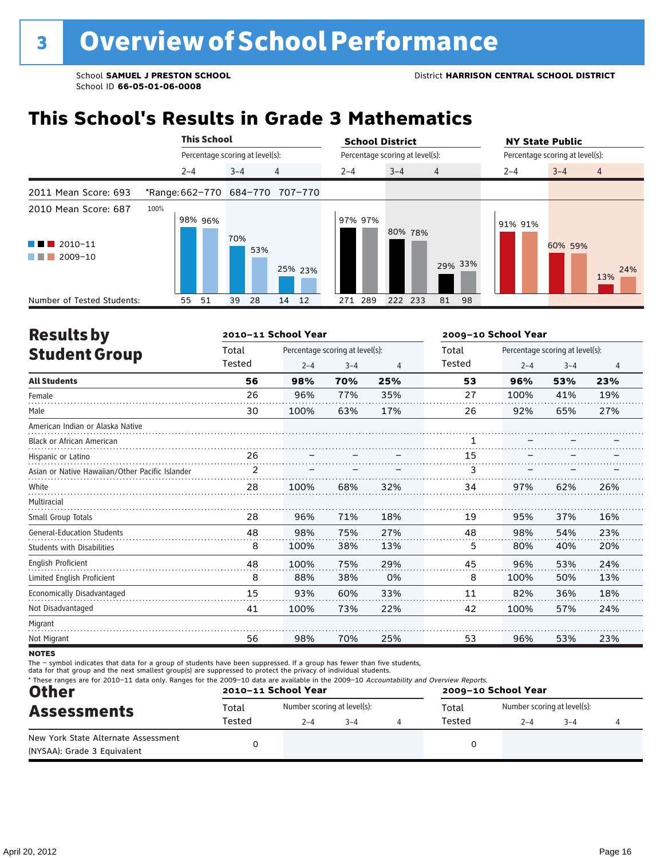## **This School's Results in Grade 3 Mathematics**

|                                                                          |      | <b>This School</b><br>Percentage scoring at level(s): |         |         |     | <b>School District</b>          |         |         |                | <b>NY State Public</b>          |         |         |                |
|--------------------------------------------------------------------------|------|-------------------------------------------------------|---------|---------|-----|---------------------------------|---------|---------|----------------|---------------------------------|---------|---------|----------------|
|                                                                          |      |                                                       |         |         |     | Percentage scoring at level(s): |         |         |                | Percentage scoring at level(s): |         |         |                |
|                                                                          |      | $2 - 4$                                               |         | $3 - 4$ |     | 4                               | $2 - 4$ | $3 - 4$ | $\overline{4}$ |                                 | $2 - 4$ | $3 - 4$ | $\overline{4}$ |
| 2011 Mean Score: 693                                                     |      |                                                       |         |         |     | *Range: 662-770 684-770 707-770 |         |         |                |                                 |         |         |                |
| 2010 Mean Score: 687<br>$\blacksquare$ 2010-11<br>a kacamatan<br>2009-10 | 100% |                                                       | 98% 96% | 70%     | 53% | 25% 23%                         | 97% 97% | 80% 78% |                | 29% 33%                         | 91% 91% | 60% 59% | 24%<br>13%     |
| Number of Tested Students:                                               |      | 55                                                    | 51      | 39      | 28  | 12<br>14                        | 271 289 | 222 233 | 81             | 98                              |         |         |                |

| <b>Results by</b>                               |        | 2010-11 School Year |                                 |     | 2009-10 School Year |                                 |         |     |  |
|-------------------------------------------------|--------|---------------------|---------------------------------|-----|---------------------|---------------------------------|---------|-----|--|
| <b>Student Group</b>                            | Total  |                     | Percentage scoring at level(s): |     | Total               | Percentage scoring at level(s): |         |     |  |
|                                                 | Tested | $2 - 4$             | $3 - 4$                         | 4   | Tested              | $2 - 4$                         | $3 - 4$ | 4   |  |
| <b>All Students</b>                             | 56     | 98%                 | 70%                             | 25% | 53                  | 96%                             | 53%     | 23% |  |
| Female                                          | 26     | 96%                 | 77%                             | 35% | 27                  | 100%                            | 41%     | 19% |  |
| Male                                            | 30     | 100%                | 63%                             | 17% | 26                  | 92%                             | 65%     | 27% |  |
| American Indian or Alaska Native                |        |                     |                                 |     |                     |                                 |         |     |  |
| <b>Black or African American</b>                |        |                     |                                 |     | 1                   |                                 |         |     |  |
| Hispanic or Latino                              | 26     |                     |                                 |     | 15                  |                                 |         |     |  |
| Asian or Native Hawaiian/Other Pacific Islander | 2      |                     |                                 |     | 3                   |                                 |         |     |  |
| White                                           | 28     | 100%                | 68%                             | 32% | 34                  | 97%                             | 62%     | 26% |  |
| Multiracial                                     |        |                     |                                 |     |                     |                                 |         |     |  |
| Small Group Totals                              | 28     | 96%                 | 71%                             | 18% | 19                  | 95%                             | 37%     | 16% |  |
| <b>General-Education Students</b>               | 48     | 98%                 | 75%                             | 27% | 48                  | 98%                             | 54%     | 23% |  |
| <b>Students with Disabilities</b>               | 8      | 100%                | 38%                             | 13% | 5                   | 80%                             | 40%     | 20% |  |
| <b>English Proficient</b>                       | 48     | 100%                | 75%                             | 29% | 45                  | 96%                             | 53%     | 24% |  |
| Limited English Proficient                      | 8      | 88%                 | 38%                             | 0%  | 8                   | 100%                            | 50%     | 13% |  |
| Economically Disadvantaged                      | 15     | 93%                 | 60%                             | 33% | 11                  | 82%                             | 36%     | 18% |  |
| Not Disadvantaged                               | 41     | 100%                | 73%                             | 22% | 42                  | 100%                            | 57%     | 24% |  |
| Migrant                                         |        |                     |                                 |     |                     |                                 |         |     |  |
| Not Migrant                                     | 56     | 98%                 | 70%                             | 25% | 53                  | 96%                             | 53%     | 23% |  |

**NOTES** 

The – symbol indicates that data for a group of students have been suppressed. If a group has fewer than five students,

data for that group and the next smallest group(s) are suppressed to protect the privacy of individual students.

| * These ranges are for 2010-11 data only. Ranges for the 2009-10 data are available in the 2009-10 Accountability and Overview Reports.<br><b>Other</b> |        | 2010-11 School Year         |         | 2009-10 School Year |        |                             |         |  |
|---------------------------------------------------------------------------------------------------------------------------------------------------------|--------|-----------------------------|---------|---------------------|--------|-----------------------------|---------|--|
| <b>Assessments</b>                                                                                                                                      | Total  | Number scoring at level(s): |         |                     | Total  | Number scoring at level(s): |         |  |
|                                                                                                                                                         | Tested | $2 - 4$                     | $3 - 4$ |                     | Tested | $2 - 4$                     | $3 - 4$ |  |
| New York State Alternate Assessment<br>(NYSAA): Grade 3 Equivalent                                                                                      |        |                             |         |                     |        |                             |         |  |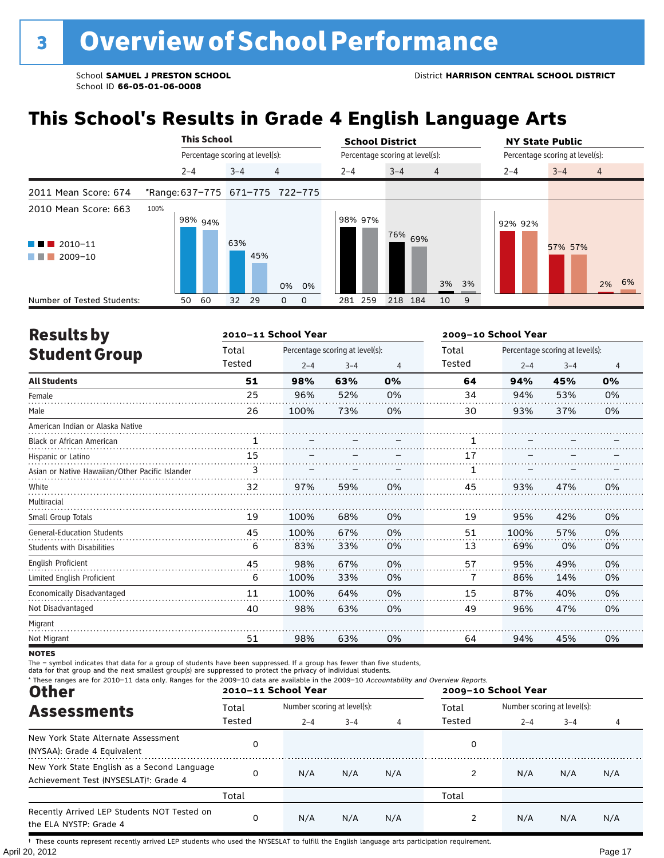## **This School's Results in Grade 4 English Language Arts**

|                                                |         | <b>This School</b>              |         |     |                                 |  | <b>School District</b> |                                 |                | <b>NY State Public</b> |                                 |
|------------------------------------------------|---------|---------------------------------|---------|-----|---------------------------------|--|------------------------|---------------------------------|----------------|------------------------|---------------------------------|
|                                                |         | Percentage scoring at level(s): |         |     |                                 |  |                        | Percentage scoring at level(s): |                |                        | Percentage scoring at level(s): |
|                                                | $2 - 4$ |                                 | $3 - 4$ |     | 4                               |  | $2 - 4$                | $3 - 4$                         | $\overline{4}$ | $2 - 4$                | $3 - 4$<br>$\overline{4}$       |
| 2011 Mean Score: 674                           |         |                                 |         |     | *Range: 637-775 671-775 722-775 |  |                        |                                 |                |                        |                                 |
| 2010 Mean Score: 663<br>$\blacksquare$ 2010-11 | 100%    | $198\%$ 94%                     | 63%     |     |                                 |  | 98% 97%                | 76% 69%                         |                | 92% 92%                | 57% 57%                         |
| $\blacksquare$ 2009-10                         |         |                                 |         | 45% | 0%<br>0%                        |  |                        |                                 | 3%<br>3%       |                        | 2% 6%                           |
| Number of Tested Students:                     | 50      | 60                              | 32      | 29  | 0<br>0                          |  | 281 259                | 218 184                         | 9<br>10        |                        |                                 |

| <b>Results by</b>                               |        | 2010-11 School Year |                                 |    | 2009-10 School Year |         |                                 |    |
|-------------------------------------------------|--------|---------------------|---------------------------------|----|---------------------|---------|---------------------------------|----|
| <b>Student Group</b>                            | Total  |                     | Percentage scoring at level(s): |    | Total               |         | Percentage scoring at level(s): |    |
|                                                 | Tested | $2 - 4$             | $3 - 4$                         | 4  | Tested              | $2 - 4$ | $3 - 4$                         | 4  |
| <b>All Students</b>                             | 51     | 98%                 | 63%                             | 0% | 64                  | 94%     | 45%                             | 0% |
| Female                                          | 25     | 96%                 | 52%                             | 0% | 34                  | 94%     | 53%                             | 0% |
| Male                                            | 26     | 100%                | 73%                             | 0% | 30                  | 93%     | 37%                             | 0% |
| American Indian or Alaska Native                |        |                     |                                 |    |                     |         |                                 |    |
| <b>Black or African American</b>                | 1      |                     |                                 |    |                     |         |                                 |    |
| Hispanic or Latino                              | 15     |                     |                                 |    | 17                  |         |                                 |    |
| Asian or Native Hawaiian/Other Pacific Islander | 3      |                     |                                 |    |                     |         |                                 |    |
| White                                           | 32     | 97%                 | 59%                             | 0% | 45                  | 93%     | 47%                             | 0% |
| Multiracial                                     |        |                     |                                 |    |                     |         |                                 |    |
| Small Group Totals                              | 19     | 100%                | 68%                             | 0% | 19                  | 95%     | 42%                             | 0% |
| <b>General-Education Students</b>               | 45     | 100%                | 67%                             | 0% | 51                  | 100%    | 57%                             | 0% |
| Students with Disabilities                      | 6      | 83%                 | 33%                             | 0% | 13                  | 69%     | 0%                              | 0% |
| English Proficient                              | 45     | 98%                 | 67%                             | 0% | 57                  | 95%     | 49%                             | 0% |
| Limited English Proficient                      | 6      | 100%                | 33%                             | 0% | 7                   | 86%     | 14%                             | 0% |
| Economically Disadvantaged                      | 11     | 100%                | 64%                             | 0% | 15                  | 87%     | 40%                             | 0% |
| Not Disadvantaged                               | 40     | 98%                 | 63%                             | 0% | 49                  | 96%     | 47%                             | 0% |
| Migrant                                         |        |                     |                                 |    |                     |         |                                 |    |
| Not Migrant                                     | 51     | 98%                 | 63%                             | 0% | 64                  | 94%     | 45%                             | 0% |

**NOTES** 

The – symbol indicates that data for a group of students have been suppressed. If a group has fewer than five students,<br>data for that group and the next smallest group(s) are suppressed to protect the privacy of individual

| * These ranges are for 2010-11 data only. Ranges for the 2009-10 data are available in the 2009-10 Accountability and Overview Reports.<br><b>Other</b> |        | 2010-11 School Year         |         |     | 2009-10 School Year |                             |                       |     |  |
|---------------------------------------------------------------------------------------------------------------------------------------------------------|--------|-----------------------------|---------|-----|---------------------|-----------------------------|-----------------------|-----|--|
| <b>Assessments</b>                                                                                                                                      | Total  | Number scoring at level(s): |         |     | Total               | Number scoring at level(s): |                       |     |  |
|                                                                                                                                                         | Tested | $2 - 4$                     | $3 - 4$ |     | Tested              | $2 - 4$                     | $3 - 4$<br>N/A<br>N/A |     |  |
| New York State Alternate Assessment<br>(NYSAA): Grade 4 Equivalent                                                                                      | 0      |                             |         |     | 0                   |                             |                       |     |  |
| New York State English as a Second Language<br>Achievement Test (NYSESLAT) <sup>+</sup> : Grade 4                                                       | 0      | N/A                         | N/A     | N/A |                     | N/A                         |                       | N/A |  |
|                                                                                                                                                         | Total  |                             |         |     | Total               |                             |                       |     |  |
| Recently Arrived LEP Students NOT Tested on<br>the ELA NYSTP: Grade 4                                                                                   | 0      | N/A                         | N/A     | N/A |                     | N/A                         |                       | N/A |  |

April 20, 2012 Page 17 † These counts represent recently arrived LEP students who used the NYSESLAT to fulfill the English language arts participation requirement.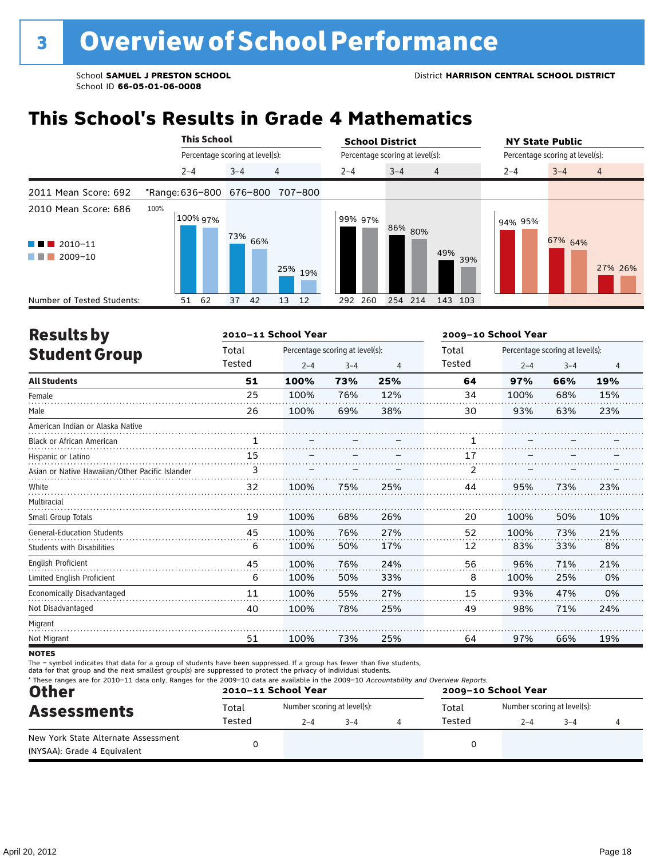## **This School's Results in Grade 4 Mathematics**

|                                                                             |                     | <b>This School</b> |                                 |                                 | <b>School District</b> |                                 | <b>NY State Public</b> |                                 |
|-----------------------------------------------------------------------------|---------------------|--------------------|---------------------------------|---------------------------------|------------------------|---------------------------------|------------------------|---------------------------------|
|                                                                             |                     |                    | Percentage scoring at level(s): |                                 |                        | Percentage scoring at level(s): |                        | Percentage scoring at level(s): |
|                                                                             | $2 - 4$             |                    | $3 - 4$                         | $\overline{4}$                  | $2 - 4$                | $3 - 4$<br>$\overline{4}$       | $2 - 4$                | $3 - 4$<br>$\overline{4}$       |
| 2011 Mean Score: 692                                                        |                     |                    |                                 | *Range: 636-800 676-800 707-800 |                        |                                 |                        |                                 |
| 2010 Mean Score: 686<br>$\blacksquare$ 2010-11<br>a di kacamatan<br>2009-10 | 100%<br>$100\%$ 97% |                    | <sup>73%</sup> 66%              | 25% 19%                         | 99% 97%                | 86% 80%<br>49%                  | 94% 95%<br>39%         | 67% 64%<br>27% 26%              |
| Number of Tested Students:                                                  | 51                  | 62                 | 37<br>42                        | 13<br>12                        | 260<br>292             | 254 214<br>143 103              |                        |                                 |

| <b>Results by</b>                               |              | 2010-11 School Year |                                 |                | 2009-10 School Year |         |                                 |     |  |
|-------------------------------------------------|--------------|---------------------|---------------------------------|----------------|---------------------|---------|---------------------------------|-----|--|
| <b>Student Group</b>                            | Total        |                     | Percentage scoring at level(s): |                | Total               |         | Percentage scoring at level(s): |     |  |
|                                                 | Tested       | $2 - 4$             | $3 - 4$                         | $\overline{4}$ | Tested              | $2 - 4$ | $3 - 4$                         | 4   |  |
| <b>All Students</b>                             | 51           | 100%                | 73%                             | 25%            | 64                  | 97%     | 66%                             | 19% |  |
| Female                                          | 25           | 100%                | 76%                             | 12%            | 34                  | 100%    | 68%                             | 15% |  |
| Male                                            | 26           | 100%                | 69%                             | 38%            | 30                  | 93%     | 63%                             | 23% |  |
| American Indian or Alaska Native                |              |                     |                                 |                |                     |         |                                 |     |  |
| <b>Black or African American</b>                | $\mathbf{1}$ |                     |                                 |                | 1                   |         |                                 |     |  |
| Hispanic or Latino                              | 15           |                     |                                 |                | 17                  |         |                                 |     |  |
| Asian or Native Hawaiian/Other Pacific Islander | 3            |                     |                                 |                | 2                   |         |                                 |     |  |
| White                                           | 32           | 100%                | 75%                             | 25%            | 44                  | 95%     | 73%                             | 23% |  |
| Multiracial                                     |              |                     |                                 |                |                     |         |                                 |     |  |
| Small Group Totals                              | 19           | 100%                | 68%                             | 26%            | 20                  | 100%    | 50%                             | 10% |  |
| <b>General-Education Students</b>               | 45           | 100%                | 76%                             | 27%            | 52                  | 100%    | 73%                             | 21% |  |
| <b>Students with Disabilities</b>               | 6            | 100%                | 50%                             | 17%            | 12                  | 83%     | 33%                             | 8%  |  |
| <b>English Proficient</b>                       | 45           | 100%                | 76%                             | 24%            | 56                  | 96%     | 71%                             | 21% |  |
| Limited English Proficient                      | 6            | 100%                | 50%                             | 33%            | 8                   | 100%    | 25%                             | 0%  |  |
| Economically Disadvantaged                      | 11           | 100%                | 55%                             | 27%            | 15                  | 93%     | 47%                             | 0%  |  |
| Not Disadvantaged                               | 40           | 100%                | 78%                             | 25%            | 49                  | 98%     | 71%                             | 24% |  |
| Migrant                                         |              |                     |                                 |                |                     |         |                                 |     |  |
| Not Migrant                                     | 51           | 100%                | 73%                             | 25%            | 64                  | 97%     | 66%                             | 19% |  |

**NOTES** 

The – symbol indicates that data for a group of students have been suppressed. If a group has fewer than five students,<br>data for that group and the next smallest group(s) are suppressed to protect the privacy of individual

| * These ranges are for 2010-11 data only. Ranges for the 2009-10 data are available in the 2009-10 Accountability and Overview Reports.<br><b>Other</b> |                 | 2010-11 School Year                    |         | 2009-10 School Year |                 |                                        |         |  |  |
|---------------------------------------------------------------------------------------------------------------------------------------------------------|-----------------|----------------------------------------|---------|---------------------|-----------------|----------------------------------------|---------|--|--|
| <b>Assessments</b>                                                                                                                                      | Total<br>Tested | Number scoring at level(s):<br>$2 - 4$ | $3 - 4$ |                     | Total<br>Tested | Number scoring at level(s):<br>$2 - 4$ | $3 - 4$ |  |  |
| New York State Alternate Assessment<br>(NYSAA): Grade 4 Equivalent                                                                                      |                 |                                        |         |                     |                 |                                        |         |  |  |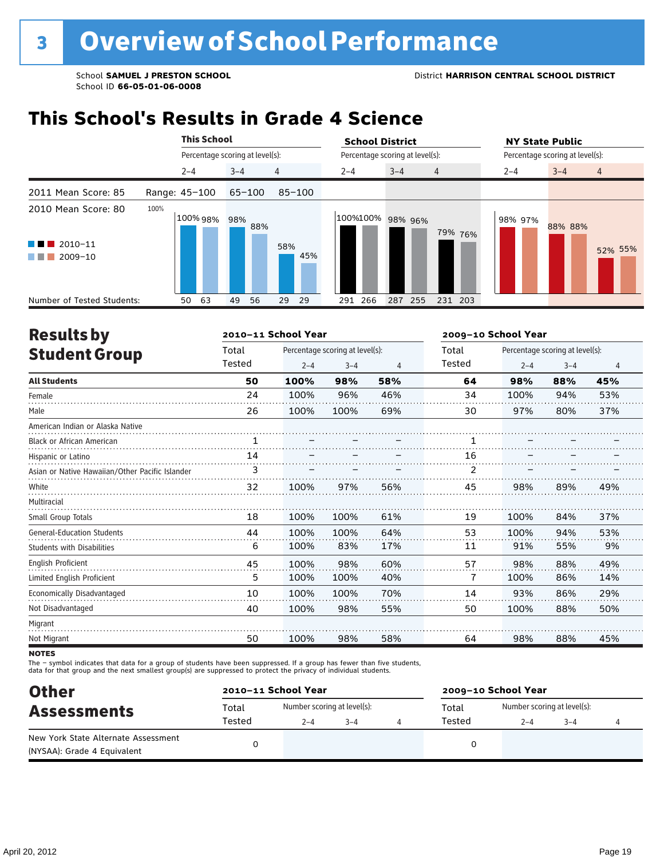### **This School's Results in Grade 4 Science**

|                                                                           |               | <b>This School</b> |                                 |            | <b>School District</b> |                                 |                    | <b>NY State Public</b>          |
|---------------------------------------------------------------------------|---------------|--------------------|---------------------------------|------------|------------------------|---------------------------------|--------------------|---------------------------------|
|                                                                           |               |                    | Percentage scoring at level(s): |            |                        | Percentage scoring at level(s): |                    | Percentage scoring at level(s): |
|                                                                           | $2 - 4$       |                    | $3 - 4$                         | 4          | $2 - 4$                | $3 - 4$<br>$\overline{4}$       | $2 - 4$            | $3 - 4$<br>$\overline{4}$       |
| 2011 Mean Score: 85                                                       | Range: 45-100 |                    | $65 - 100$                      | $85 - 100$ |                        |                                 |                    |                                 |
| 2010 Mean Score: 80<br>$2010 - 11$<br><b>Contract Contract</b><br>2009-10 | 100%          |                    | 100% 98% 98%<br>88%             | 58%<br>45% | 100%100% 98% 96%       |                                 | 98% 97%<br>79% 76% | 88% 88%<br>52% 55%              |
| Number of Tested Students:                                                | 50            | 63                 | 49<br>56                        | 29<br>29   | 266<br>291             | 287<br>255                      | 231 203            |                                 |

| <b>Results by</b>                               |        | 2010-11 School Year |                                 |                | 2009-10 School Year |         |                                 |     |  |
|-------------------------------------------------|--------|---------------------|---------------------------------|----------------|---------------------|---------|---------------------------------|-----|--|
| <b>Student Group</b>                            | Total  |                     | Percentage scoring at level(s): |                | Total               |         | Percentage scoring at level(s): |     |  |
|                                                 | Tested | $2 - 4$             | $3 - 4$                         | $\overline{4}$ | Tested              | $2 - 4$ | $3 - 4$                         | 4   |  |
| <b>All Students</b>                             | 50     | 100%                | 98%                             | 58%            | 64                  | 98%     | 88%                             | 45% |  |
| Female                                          | 24     | 100%                | 96%                             | 46%            | 34                  | 100%    | 94%                             | 53% |  |
| Male                                            | 26     | 100%                | 100%                            | 69%            | 30                  | 97%     | 80%                             | 37% |  |
| American Indian or Alaska Native                |        |                     |                                 |                |                     |         |                                 |     |  |
| <b>Black or African American</b>                | 1      |                     |                                 |                |                     |         |                                 |     |  |
| Hispanic or Latino                              | 14     |                     |                                 |                | 16                  |         |                                 |     |  |
| Asian or Native Hawaiian/Other Pacific Islander | 3      |                     |                                 |                | $\overline{2}$      |         |                                 |     |  |
| White                                           | 32     | 100%                | 97%                             | 56%            | 45                  | 98%     | 89%                             | 49% |  |
| Multiracial                                     |        |                     |                                 |                |                     |         |                                 |     |  |
| Small Group Totals                              | 18     | 100%                | 100%                            | 61%            | 19                  | 100%    | 84%                             | 37% |  |
| <b>General-Education Students</b>               | 44     | 100%                | 100%                            | 64%            | 53                  | 100%    | 94%                             | 53% |  |
| <b>Students with Disabilities</b>               | 6      | 100%                | 83%                             | 17%            | 11                  | 91%     | 55%                             | 9%  |  |
| <b>English Proficient</b>                       | 45     | 100%                | 98%                             | 60%            | 57                  | 98%     | 88%                             | 49% |  |
| Limited English Proficient                      | 5      | 100%                | 100%                            | 40%            | 7                   | 100%    | 86%                             | 14% |  |
| Economically Disadvantaged                      | 10     | 100%                | 100%                            | 70%            | 14                  | 93%     | 86%                             | 29% |  |
| Not Disadvantaged                               | 40     | 100%                | 98%                             | 55%            | 50                  | 100%    | 88%                             | 50% |  |
| Migrant                                         |        |                     |                                 |                |                     |         |                                 |     |  |
| Not Migrant                                     | 50     | 100%                | 98%                             | 58%            | 64                  | 98%     | 88%                             | 45% |  |

**NOTES** 

The – symbol indicates that data for a group of students have been suppressed. If a group has fewer than five students,<br>data for that group and the next smallest group(s) are suppressed to protect the privacy of individual

| <b>Other</b>                        | 2010-11 School Year |                             |         | 2009-10 School Year |                             |         |  |  |  |
|-------------------------------------|---------------------|-----------------------------|---------|---------------------|-----------------------------|---------|--|--|--|
| <b>Assessments</b>                  | Total               | Number scoring at level(s): |         | Total               | Number scoring at level(s): |         |  |  |  |
|                                     | Tested              | $2 - 4$                     | $3 - 4$ | Tested              | $2 - 4$                     | $3 - 4$ |  |  |  |
| New York State Alternate Assessment |                     |                             |         |                     |                             |         |  |  |  |
| (NYSAA): Grade 4 Equivalent         |                     |                             |         |                     |                             |         |  |  |  |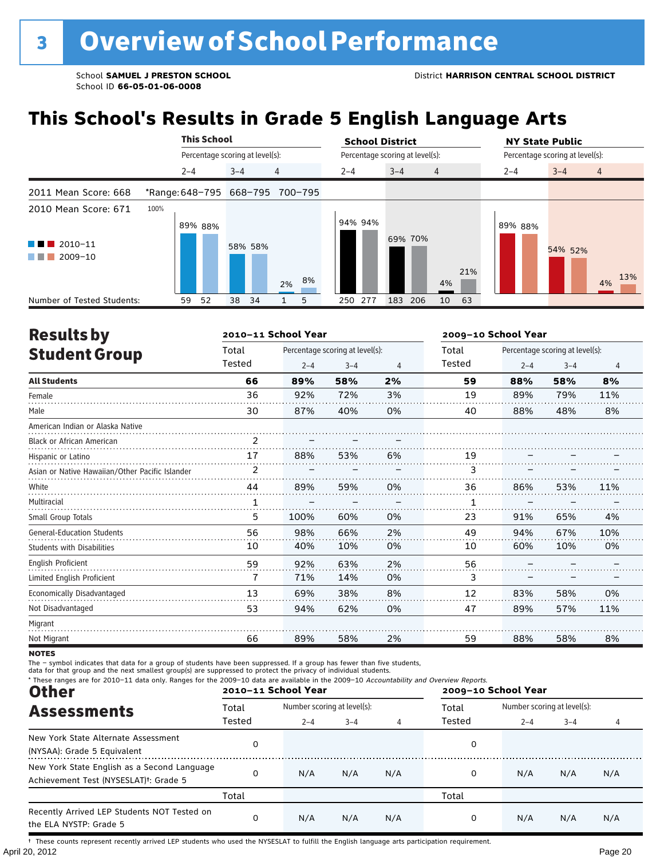## **This School's Results in Grade 5 English Language Arts**

|                                               |         | <b>This School</b>              |          |                                 |  | <b>School District</b> |                                 |                |         | <b>NY State Public</b>          |                |  |  |
|-----------------------------------------------|---------|---------------------------------|----------|---------------------------------|--|------------------------|---------------------------------|----------------|---------|---------------------------------|----------------|--|--|
|                                               |         | Percentage scoring at level(s): |          |                                 |  |                        | Percentage scoring at level(s): |                |         | Percentage scoring at level(s): |                |  |  |
|                                               | $2 - 4$ |                                 | $3 - 4$  | 4                               |  | $2 - 4$                | $3 - 4$                         | $\overline{4}$ | $2 - 4$ | $3 - 4$                         | $\overline{4}$ |  |  |
| 2011 Mean Score: 668                          |         |                                 |          | *Range: 648-795 668-795 700-795 |  |                        |                                 |                |         |                                 |                |  |  |
| 2010 Mean Score: 671                          | 100%    | 89% 88%                         |          |                                 |  | 94% 94%                | 69% 70%                         |                | 89% 88% |                                 |                |  |  |
| $\blacksquare$ 2010-11<br>2009-10<br>a katika |         |                                 | 58% 58%  | 8%<br>2%                        |  |                        |                                 | 4%             | 21%     | 54% 52%                         | 13%<br>4%      |  |  |
| Number of Tested Students:                    | 59      | 52                              | 34<br>38 | 5                               |  | 277<br>250             | 183<br>206                      | 63<br>10       |         |                                 |                |  |  |

| <b>Results by</b>                               |                | 2010-11 School Year |                                 |    | 2009-10 School Year |                                                                                                           |         |     |  |
|-------------------------------------------------|----------------|---------------------|---------------------------------|----|---------------------|-----------------------------------------------------------------------------------------------------------|---------|-----|--|
| <b>Student Group</b>                            | Total          |                     | Percentage scoring at level(s): |    | Total               |                                                                                                           |         |     |  |
|                                                 | Tested         | $2 - 4$             | $3 - 4$                         | 4  | Tested              | Percentage scoring at level(s):<br>$2 - 4$<br>88%<br>89%<br>88%<br>86%<br>91%<br>94%<br>60%<br>83%<br>89% | $3 - 4$ | 4   |  |
| <b>All Students</b>                             | 66             | 89%                 | 58%                             | 2% | 59                  |                                                                                                           | 58%     | 8%  |  |
| Female                                          | 36             | 92%                 | 72%                             | 3% | 19                  |                                                                                                           | 79%     | 11% |  |
| Male                                            | 30             | 87%                 | 40%                             | 0% | 40                  |                                                                                                           | 48%     | 8%  |  |
| American Indian or Alaska Native                |                |                     |                                 |    |                     |                                                                                                           |         |     |  |
| <b>Black or African American</b>                | 2              |                     |                                 |    |                     |                                                                                                           |         |     |  |
| Hispanic or Latino                              | 17             | 88%                 | 53%                             | 6% | 19                  |                                                                                                           |         |     |  |
| Asian or Native Hawaiian/Other Pacific Islander | $\overline{2}$ |                     |                                 |    | 3                   |                                                                                                           |         |     |  |
| White                                           | 44             | 89%                 | 59%                             | 0% | 36                  |                                                                                                           | 53%     | 11% |  |
| Multiracial                                     | 1              |                     |                                 |    | 1                   |                                                                                                           |         |     |  |
| Small Group Totals                              | 5              | 100%                | 60%                             | 0% | 23                  |                                                                                                           | 65%     | 4%  |  |
| <b>General-Education Students</b>               | 56             | 98%                 | 66%                             | 2% | 49                  |                                                                                                           | 67%     | 10% |  |
| <b>Students with Disabilities</b>               | 10             | 40%                 | 10%                             | 0% | 10                  |                                                                                                           | 10%     | 0%  |  |
| <b>English Proficient</b>                       | 59             | 92%                 | 63%                             | 2% | 56                  |                                                                                                           |         |     |  |
| Limited English Proficient                      | 7              | 71%                 | 14%                             | 0% | 3                   |                                                                                                           |         |     |  |
| Economically Disadvantaged                      | 13             | 69%                 | 38%                             | 8% | 12                  |                                                                                                           | 58%     | 0%  |  |
| Not Disadvantaged                               | 53             | 94%                 | 62%                             | 0% | 47                  |                                                                                                           | 57%     | 11% |  |
| Migrant                                         |                |                     |                                 |    |                     |                                                                                                           |         |     |  |
| Not Migrant                                     | 66             | 89%                 | 58%                             | 2% | 59                  | 88%                                                                                                       | 58%     | 8%  |  |

**NOTES** 

The – symbol indicates that data for a group of students have been suppressed. If a group has fewer than five students,<br>data for that group and the next smallest group(s) are suppressed to protect the privacy of individual

| * These ranges are for 2010-11 data only. Ranges for the 2009-10 data are available in the 2009-10 Accountability and Overview Reports.<br><b>Other</b> |        | 2010-11 School Year         |         |     | 2009-10 School Year |                             |                |     |  |  |
|---------------------------------------------------------------------------------------------------------------------------------------------------------|--------|-----------------------------|---------|-----|---------------------|-----------------------------|----------------|-----|--|--|
| <b>Assessments</b>                                                                                                                                      | Total  | Number scoring at level(s): |         |     | Total               | Number scoring at level(s): |                |     |  |  |
|                                                                                                                                                         | Tested | $2 - 4$                     | $3 - 4$ | 4   | Tested              | $2 - 4$                     | $3 - 4$<br>N/A | 4   |  |  |
| New York State Alternate Assessment<br>(NYSAA): Grade 5 Equivalent                                                                                      | 0      |                             |         |     | 0                   |                             |                |     |  |  |
| New York State English as a Second Language<br>Achievement Test (NYSESLAT) <sup>t</sup> : Grade 5                                                       | 0      | N/A                         | N/A     | N/A | 0                   | N/A                         |                | N/A |  |  |
|                                                                                                                                                         | Total  |                             |         |     | Total               |                             |                |     |  |  |
| Recently Arrived LEP Students NOT Tested on<br>the ELA NYSTP: Grade 5                                                                                   | 0      | N/A                         | N/A     | N/A | 0                   | N/A                         | N/A            | N/A |  |  |

April 20, 2012 Page 20 † These counts represent recently arrived LEP students who used the NYSESLAT to fulfill the English language arts participation requirement.